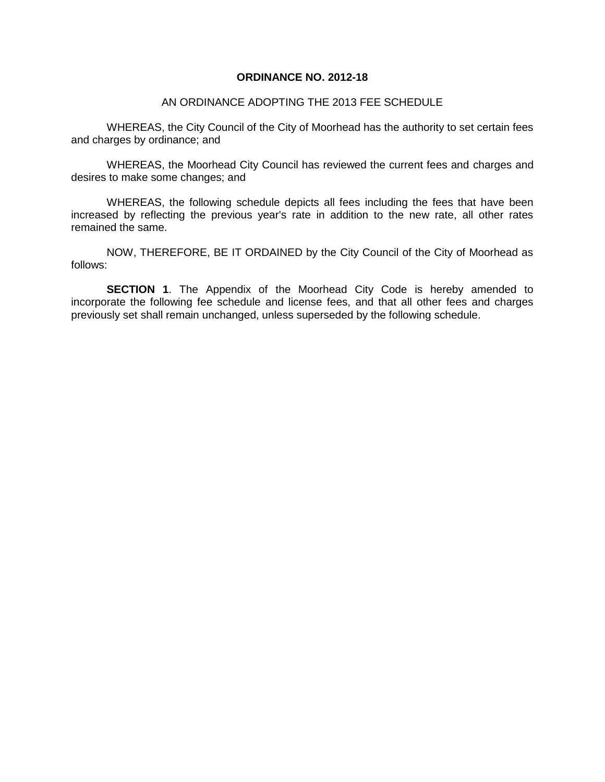## **ORDINANCE NO. 2012-18**

## AN ORDINANCE ADOPTING THE 2013 FEE SCHEDULE

WHEREAS, the City Council of the City of Moorhead has the authority to set certain fees and charges by ordinance; and

WHEREAS, the Moorhead City Council has reviewed the current fees and charges and desires to make some changes; and

WHEREAS, the following schedule depicts all fees including the fees that have been increased by reflecting the previous year's rate in addition to the new rate, all other rates remained the same.

NOW, THEREFORE, BE IT ORDAINED by the City Council of the City of Moorhead as follows:

**SECTION 1.** The Appendix of the Moorhead City Code is hereby amended to incorporate the following fee schedule and license fees, and that all other fees and charges previously set shall remain unchanged, unless superseded by the following schedule.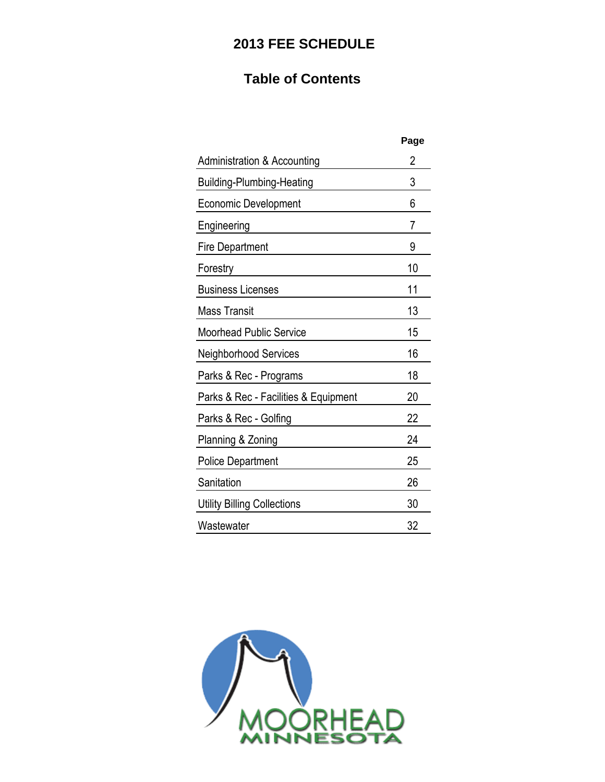# **2013 FEE SCHEDULE**

# **Table of Contents**

|                                      | Page |
|--------------------------------------|------|
| Administration & Accounting          | 2    |
| Building-Plumbing-Heating            | 3    |
| Economic Development                 | 6    |
| Engineering                          | 7    |
| Fire Department                      | 9    |
| Forestry                             | 10   |
| <b>Business Licenses</b>             | 11   |
| Mass Transit                         | 13   |
| <b>Moorhead Public Service</b>       | 15   |
| Neighborhood Services                | 16   |
| Parks & Rec - Programs               | 18   |
| Parks & Rec - Facilities & Equipment | 20   |
| Parks & Rec - Golfing                | 22   |
| Planning & Zoning                    | 24   |
| <b>Police Department</b>             | 25   |
| Sanitation                           | 26   |
| <b>Utility Billing Collections</b>   | 30   |
| Wastewater                           | 32   |
|                                      |      |

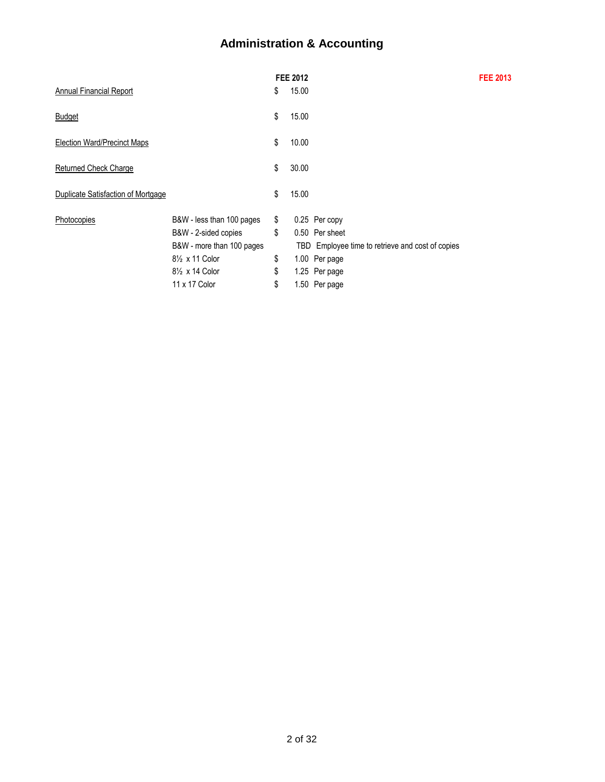# **Administration & Accounting**

|                                    |                                          | <b>FEE 2012</b> |                                                  | <b>FEE 2013</b> |
|------------------------------------|------------------------------------------|-----------------|--------------------------------------------------|-----------------|
| Annual Financial Report            |                                          | \$<br>15.00     |                                                  |                 |
| <b>Budget</b>                      |                                          | \$<br>15.00     |                                                  |                 |
| <b>Election Ward/Precinct Maps</b> |                                          | \$<br>10.00     |                                                  |                 |
| <b>Returned Check Charge</b>       |                                          | \$<br>30.00     |                                                  |                 |
| Duplicate Satisfaction of Mortgage |                                          | \$<br>15.00     |                                                  |                 |
| Photocopies                        | B&W - less than 100 pages                | \$              | 0.25 Per copy                                    |                 |
|                                    | B&W - 2-sided copies                     | \$              | 0.50 Per sheet                                   |                 |
|                                    | B&W - more than 100 pages                |                 | TBD Employee time to retrieve and cost of copies |                 |
|                                    | 8 <sup>1</sup> / <sub>2</sub> x 11 Color | \$              | 1.00 Per page                                    |                 |
|                                    | 8 <sup>1</sup> / <sub>2</sub> x 14 Color | \$              | 1.25 Per page                                    |                 |
|                                    | 11 x 17 Color                            | \$              | 1.50 Per page                                    |                 |
|                                    |                                          |                 |                                                  |                 |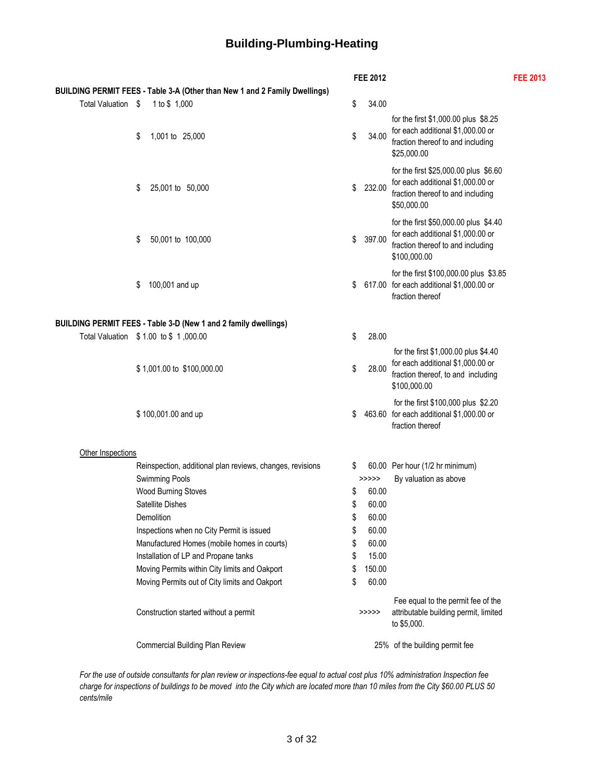# **Building-Plumbing-Heating**

|                    |                                                                            |    | <b>FEE 2012</b> |                                                                                                                                 | <b>FEE 2013</b> |
|--------------------|----------------------------------------------------------------------------|----|-----------------|---------------------------------------------------------------------------------------------------------------------------------|-----------------|
|                    | BUILDING PERMIT FEES - Table 3-A (Other than New 1 and 2 Family Dwellings) |    |                 |                                                                                                                                 |                 |
| Total Valuation \$ | 1 to \$ 1,000                                                              | \$ | 34.00           |                                                                                                                                 |                 |
|                    | \$<br>1,001 to 25,000                                                      | \$ | 34.00           | for the first \$1,000.00 plus \$8.25<br>for each additional \$1,000.00 or<br>fraction thereof to and including<br>\$25,000.00   |                 |
|                    | \$<br>25,001 to 50,000                                                     | \$ | 232.00          | for the first \$25,000.00 plus \$6.60<br>for each additional \$1,000.00 or<br>fraction thereof to and including<br>\$50,000.00  |                 |
|                    | \$<br>50,001 to 100,000                                                    | \$ | 397.00          | for the first \$50,000.00 plus \$4.40<br>for each additional \$1,000.00 or<br>fraction thereof to and including<br>\$100,000.00 |                 |
|                    | \$<br>100,001 and up                                                       | \$ |                 | for the first \$100,000.00 plus \$3.85<br>617.00 for each additional \$1,000.00 or<br>fraction thereof                          |                 |
|                    | BUILDING PERMIT FEES - Table 3-D (New 1 and 2 family dwellings)            |    |                 |                                                                                                                                 |                 |
|                    | Total Valuation \$1.00 to \$1,000.00                                       | \$ | 28.00           |                                                                                                                                 |                 |
|                    | \$1,001.00 to \$100,000.00                                                 | \$ | 28.00           | for the first \$1,000.00 plus \$4.40<br>for each additional \$1,000.00 or<br>fraction thereof, to and including<br>\$100,000.00 |                 |
|                    | \$100,001.00 and up                                                        | \$ |                 | for the first \$100,000 plus \$2.20<br>463.60 for each additional \$1,000.00 or<br>fraction thereof                             |                 |
| Other Inspections  |                                                                            |    |                 |                                                                                                                                 |                 |
|                    | Reinspection, additional plan reviews, changes, revisions                  | S  |                 | 60.00 Per hour (1/2 hr minimum)                                                                                                 |                 |
|                    | <b>Swimming Pools</b>                                                      |    | >>>>>           | By valuation as above                                                                                                           |                 |
|                    | <b>Wood Burning Stoves</b>                                                 | \$ | 60.00           |                                                                                                                                 |                 |
|                    | Satellite Dishes                                                           | \$ | 60.00           |                                                                                                                                 |                 |
|                    | Demolition                                                                 | \$ | 60.00           |                                                                                                                                 |                 |
|                    | Inspections when no City Permit is issued                                  |    | 60.00           |                                                                                                                                 |                 |
|                    | Manufactured Homes (mobile homes in courts)                                | \$ | 60.00           |                                                                                                                                 |                 |
|                    | Installation of LP and Propane tanks                                       | \$ | 15.00           |                                                                                                                                 |                 |
|                    | Moving Permits within City limits and Oakport                              | \$ | 150.00          |                                                                                                                                 |                 |
|                    | Moving Permits out of City limits and Oakport                              | S  | 60.00           |                                                                                                                                 |                 |
|                    | Construction started without a permit                                      |    | >>>>>           | Fee equal to the permit fee of the<br>attributable building permit, limited<br>to \$5,000.                                      |                 |
|                    | Commercial Building Plan Review                                            |    |                 | 25% of the building permit fee                                                                                                  |                 |
|                    |                                                                            |    |                 |                                                                                                                                 |                 |

*For the use of outside consultants for plan review or inspections-fee equal to actual cost plus 10% administration Inspection fee charge for inspections of buildings to be moved into the City which are located more than 10 miles from the City \$60.00 PLUS 50 cents/mile*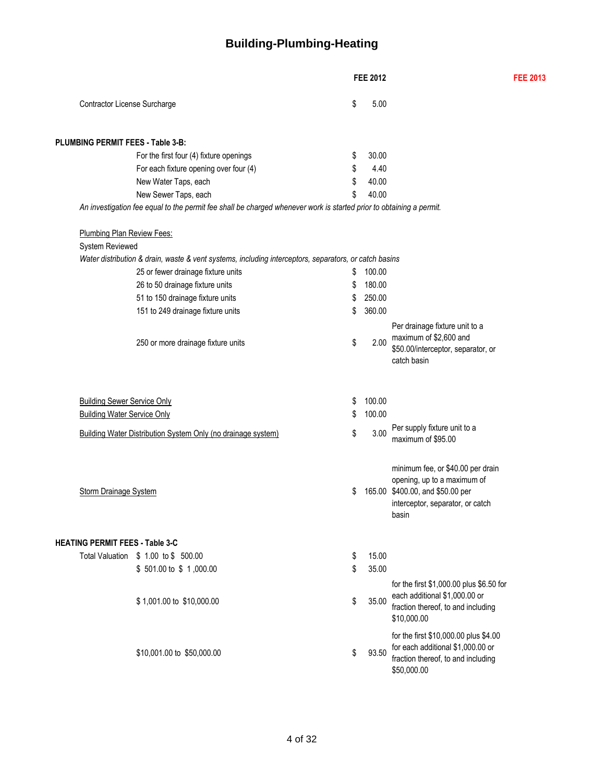# **Building-Plumbing-Heating**

|                                                                          |                                                              |                                                                                                                     |          | <b>FEE 2012</b>  |                                                                                                                                                   | <b>FEE 2013</b> |
|--------------------------------------------------------------------------|--------------------------------------------------------------|---------------------------------------------------------------------------------------------------------------------|----------|------------------|---------------------------------------------------------------------------------------------------------------------------------------------------|-----------------|
| Contractor License Surcharge                                             |                                                              |                                                                                                                     | \$       | 5.00             |                                                                                                                                                   |                 |
| <b>PLUMBING PERMIT FEES - Table 3-B:</b>                                 |                                                              |                                                                                                                     |          |                  |                                                                                                                                                   |                 |
|                                                                          | For the first four (4) fixture openings                      |                                                                                                                     | \$       | 30.00            |                                                                                                                                                   |                 |
|                                                                          | For each fixture opening over four (4)                       |                                                                                                                     | \$       | 4.40             |                                                                                                                                                   |                 |
|                                                                          | New Water Taps, each                                         |                                                                                                                     | \$       | 40.00            |                                                                                                                                                   |                 |
|                                                                          | New Sewer Taps, each                                         |                                                                                                                     | \$       | 40.00            |                                                                                                                                                   |                 |
|                                                                          |                                                              | An investigation fee equal to the permit fee shall be charged whenever work is started prior to obtaining a permit. |          |                  |                                                                                                                                                   |                 |
| <b>Plumbing Plan Review Fees:</b>                                        |                                                              |                                                                                                                     |          |                  |                                                                                                                                                   |                 |
| System Reviewed                                                          |                                                              |                                                                                                                     |          |                  |                                                                                                                                                   |                 |
|                                                                          |                                                              | Water distribution & drain, waste & vent systems, including interceptors, separators, or catch basins               |          |                  |                                                                                                                                                   |                 |
|                                                                          | 25 or fewer drainage fixture units                           |                                                                                                                     | \$       | 100.00           |                                                                                                                                                   |                 |
|                                                                          | 26 to 50 drainage fixture units                              |                                                                                                                     | \$       | 180.00           |                                                                                                                                                   |                 |
|                                                                          | 51 to 150 drainage fixture units                             |                                                                                                                     | \$       | 250.00           |                                                                                                                                                   |                 |
|                                                                          | 151 to 249 drainage fixture units                            |                                                                                                                     | \$       | 360.00           |                                                                                                                                                   |                 |
|                                                                          | 250 or more drainage fixture units                           |                                                                                                                     | \$       | 2.00             | Per drainage fixture unit to a<br>maximum of \$2,600 and<br>\$50.00/interceptor, separator, or<br>catch basin                                     |                 |
| <b>Building Sewer Service Only</b><br><b>Building Water Service Only</b> |                                                              |                                                                                                                     | \$<br>\$ | 100.00<br>100.00 |                                                                                                                                                   |                 |
|                                                                          |                                                              |                                                                                                                     |          | 3.00             | Per supply fixture unit to a                                                                                                                      |                 |
|                                                                          | Building Water Distribution System Only (no drainage system) |                                                                                                                     | \$       |                  | maximum of \$95.00                                                                                                                                |                 |
| Storm Drainage System                                                    |                                                              |                                                                                                                     | \$       |                  | minimum fee, or \$40.00 per drain<br>opening, up to a maximum of<br>165.00 \$400.00, and \$50.00 per<br>interceptor, separator, or catch<br>basin |                 |
| <b>HEATING PERMIT FEES - Table 3-C</b>                                   |                                                              |                                                                                                                     |          |                  |                                                                                                                                                   |                 |
|                                                                          | Total Valuation \$ 1.00 to \$ 500.00                         |                                                                                                                     | \$       | 15.00            |                                                                                                                                                   |                 |
|                                                                          | \$501.00 to \$1,000.00                                       |                                                                                                                     | \$       | 35.00            |                                                                                                                                                   |                 |
|                                                                          | \$1,001.00 to \$10,000.00                                    |                                                                                                                     | \$       | 35.00            | for the first \$1,000.00 plus \$6.50 for<br>each additional \$1,000.00 or<br>fraction thereof, to and including<br>\$10,000.00                    |                 |
|                                                                          | \$10,001.00 to \$50,000.00                                   |                                                                                                                     | \$       | 93.50            | for the first \$10,000.00 plus \$4.00<br>for each additional \$1,000.00 or<br>fraction thereof, to and including<br>\$50,000.00                   |                 |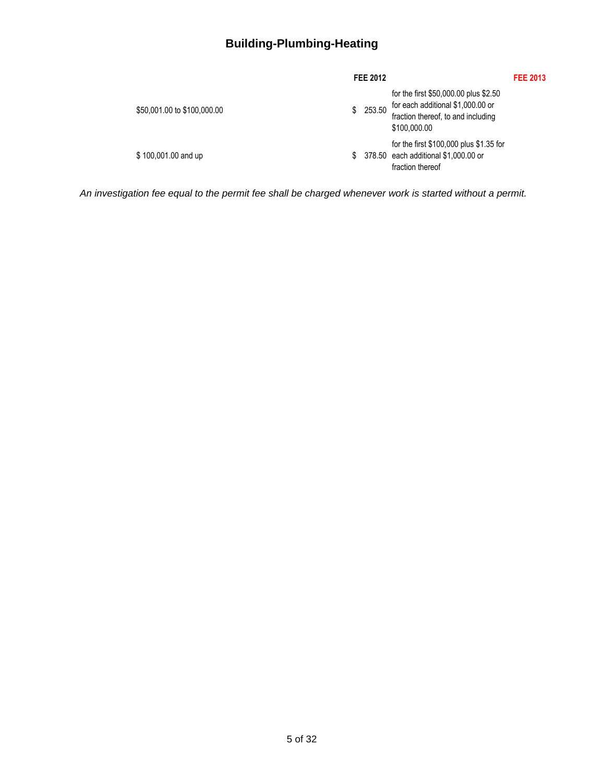# **Building-Plumbing-Heating**

|                             | FEE 2012 |                                                                                                                                  | <b>FEE 2013</b> |
|-----------------------------|----------|----------------------------------------------------------------------------------------------------------------------------------|-----------------|
| \$50,001.00 to \$100,000.00 | \$253.50 | for the first \$50,000.00 plus \$2.50<br>for each additional \$1,000.00 or<br>fraction thereof, to and including<br>\$100,000.00 |                 |
| \$100,001.00 and up         |          | for the first \$100,000 plus \$1.35 for<br>\$ 378.50 each additional \$1,000.00 or<br>fraction thereof                           |                 |

*An investigation fee equal to the permit fee shall be charged whenever work is started without a permit.*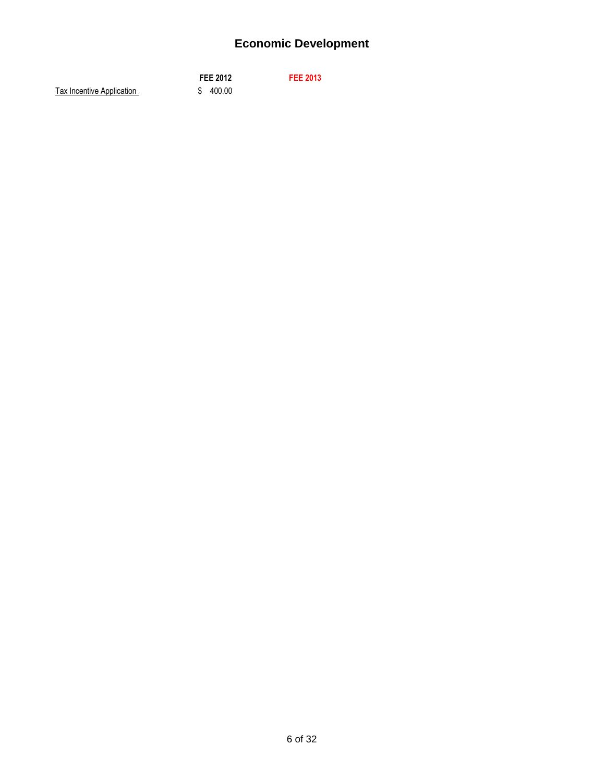# **Economic Development**

|                           | <b>FEE 2012</b> | <b>FEE 2013</b> |
|---------------------------|-----------------|-----------------|
| Tax Incentive Application | \$400.00        |                 |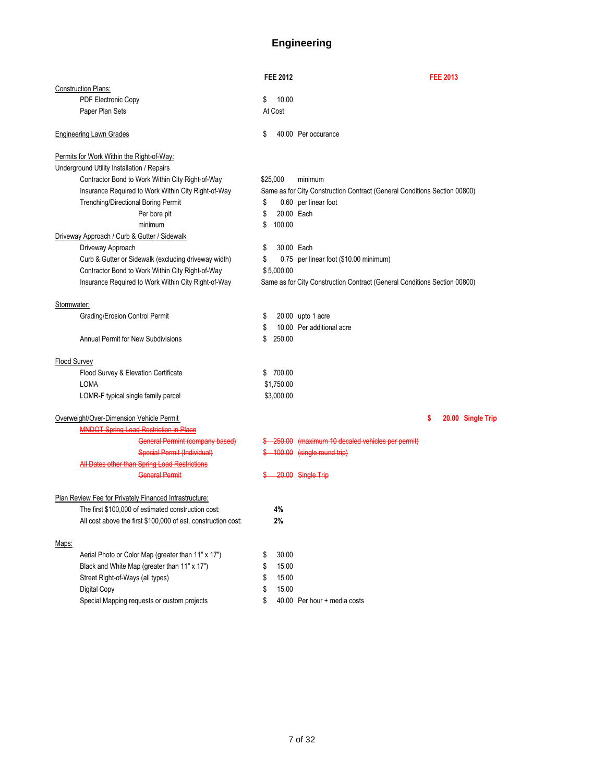## **Engineering**

|                     |                                                               |    | <b>FEE 2012</b> | <b>FEE 2013</b>                                                           |
|---------------------|---------------------------------------------------------------|----|-----------------|---------------------------------------------------------------------------|
|                     | <b>Construction Plans:</b>                                    |    |                 |                                                                           |
|                     | PDF Electronic Copy                                           | \$ | 10.00           |                                                                           |
|                     | Paper Plan Sets                                               |    | At Cost         |                                                                           |
|                     | <b>Engineering Lawn Grades</b>                                | \$ |                 | 40.00 Per occurance                                                       |
|                     | Permits for Work Within the Right-of-Way:                     |    |                 |                                                                           |
|                     | Underground Utility Installation / Repairs                    |    |                 |                                                                           |
|                     | Contractor Bond to Work Within City Right-of-Way              |    | \$25,000        | minimum                                                                   |
|                     | Insurance Required to Work Within City Right-of-Way           |    |                 | Same as for City Construction Contract (General Conditions Section 00800) |
|                     | Trenching/Directional Boring Permit                           | \$ |                 | 0.60 per linear foot                                                      |
|                     | Per bore pit                                                  | \$ | 20.00 Each      |                                                                           |
|                     | minimum                                                       | \$ | 100.00          |                                                                           |
|                     | Driveway Approach / Curb & Gutter / Sidewalk                  |    |                 |                                                                           |
|                     | Driveway Approach                                             | \$ | 30.00 Each      |                                                                           |
|                     | Curb & Gutter or Sidewalk (excluding driveway width)          | \$ |                 | 0.75 per linear foot (\$10.00 minimum)                                    |
|                     | Contractor Bond to Work Within City Right-of-Way              |    | \$5,000.00      |                                                                           |
|                     | Insurance Required to Work Within City Right-of-Way           |    |                 | Same as for City Construction Contract (General Conditions Section 00800) |
| Stormwater:         |                                                               |    |                 |                                                                           |
|                     | Grading/Erosion Control Permit                                | \$ |                 | 20.00 upto 1 acre                                                         |
|                     |                                                               | S  |                 | 10.00 Per additional acre                                                 |
|                     | <b>Annual Permit for New Subdivisions</b>                     | S  | 250.00          |                                                                           |
| <b>Flood Survey</b> |                                                               |    |                 |                                                                           |
|                     | Flood Survey & Elevation Certificate                          | \$ | 700.00          |                                                                           |
|                     | <b>LOMA</b>                                                   |    | \$1,750.00      |                                                                           |
|                     | LOMR-F typical single family parcel                           |    | \$3,000.00      |                                                                           |
|                     | Overweight/Over-Dimension Vehicle Permit                      |    |                 | \$<br>20.00 Single Trip                                                   |
|                     | <b>MNDOT Spring Load Restriction in Place</b>                 |    |                 |                                                                           |
|                     | <b>General Permint (company based)</b>                        |    |                 | \$ 250.00 (maximum 10 decaled vehicles per permit)                        |
|                     | <b>Special Permit (Individual)</b>                            |    |                 | \$ 100.00 (single round trip)                                             |
|                     | All Dates other than Spring Load Restrictions                 |    |                 |                                                                           |
|                     | <b>General Permit</b>                                         |    |                 | 20.00 Single Trip                                                         |
|                     | Plan Review Fee for Privately Financed Infrastructure:        |    |                 |                                                                           |
|                     | The first \$100,000 of estimated construction cost:           |    | 4%              |                                                                           |
|                     | All cost above the first \$100,000 of est. construction cost: |    | 2%              |                                                                           |
| Maps:               |                                                               |    |                 |                                                                           |
|                     | Aerial Photo or Color Map (greater than 11" x 17")            | \$ | 30.00           |                                                                           |
|                     | Black and White Map (greater than 11" x 17")                  | \$ | 15.00           |                                                                           |
|                     | Street Right-of-Ways (all types)                              | \$ | 15.00           |                                                                           |
|                     | Digital Copy                                                  | \$ | 15.00           |                                                                           |
|                     | Special Mapping requests or custom projects                   | \$ |                 | 40.00 Per hour + media costs                                              |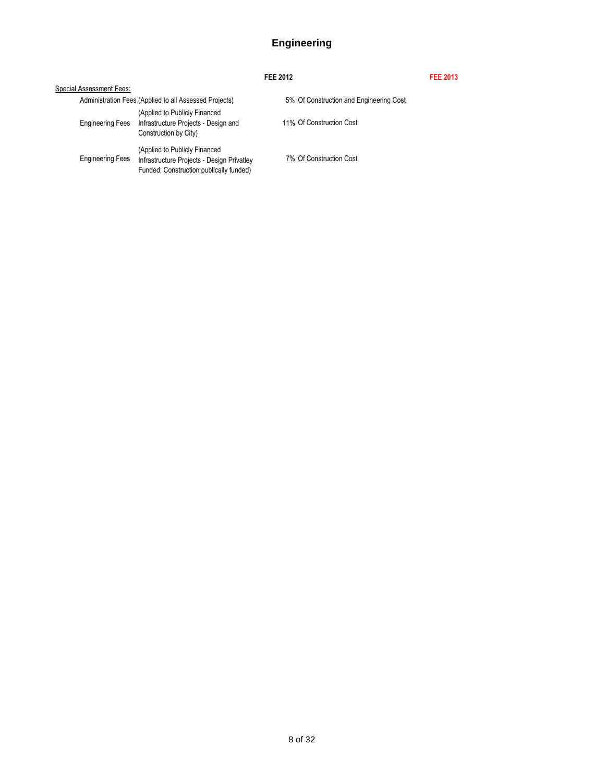## **Engineering**

|                          |                                                                                                                        | FEE 2012                                | <b>FEE 2013</b> |
|--------------------------|------------------------------------------------------------------------------------------------------------------------|-----------------------------------------|-----------------|
| Special Assessment Fees: |                                                                                                                        |                                         |                 |
|                          | Administration Fees (Applied to all Assessed Projects)                                                                 | 5% Of Construction and Engineering Cost |                 |
| <b>Engineering Fees</b>  | (Applied to Publicly Financed<br>Infrastructure Projects - Design and<br>Construction by City)                         | 11% Of Construction Cost                |                 |
| <b>Engineering Fees</b>  | (Applied to Publicly Financed<br>Infrastructure Projects - Design Privatley<br>Funded: Construction publically funded) | 7% Of Construction Cost                 |                 |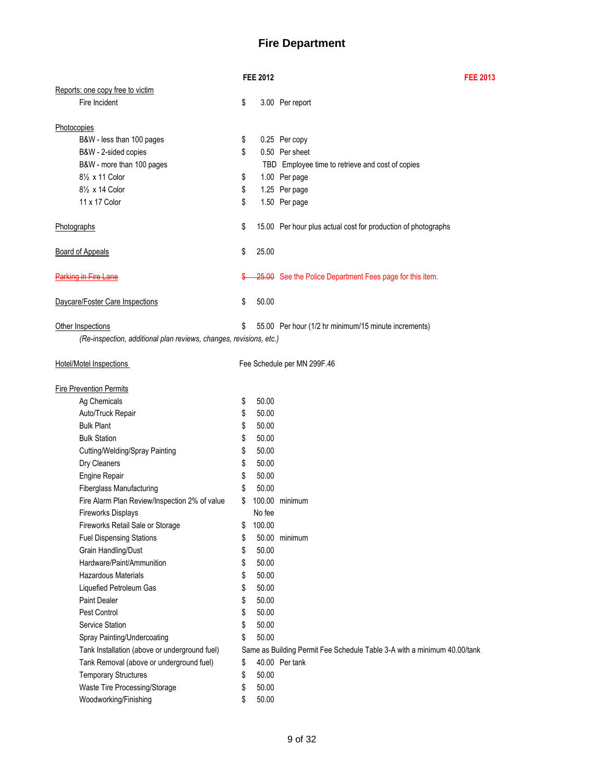## **Fire Department**

| Reports: one copy free to victim<br>Fire Incident<br>\$<br>3.00 Per report<br>Photocopies<br>B&W - less than 100 pages<br>0.25 Per copy<br>\$<br>\$<br>B&W - 2-sided copies<br>0.50 Per sheet<br>B&W - more than 100 pages<br>TBD Employee time to retrieve and cost of copies<br>81/ <sub>2</sub> x 11 Color<br>\$<br>1.00 Per page<br>81/2 x 14 Color<br>\$<br>1.25 Per page<br>11 x 17 Color<br>\$<br>1.50 Per page<br>\$<br>Photographs<br>15.00 Per hour plus actual cost for production of photographs<br>\$<br>25.00<br><b>Board of Appeals</b><br><b>Parking in Fire Lane</b><br>25.00 See the Police Department Fees page for this item.<br>Daycare/Foster Care Inspections<br>\$<br>50.00<br>Other Inspections<br>55.00 Per hour (1/2 hr minimum/15 minute increments)<br>\$<br>(Re-inspection, additional plan reviews, changes, revisions, etc.)<br><b>Hotel/Motel Inspections</b><br>Fee Schedule per MN 299F.46<br><b>Fire Prevention Permits</b><br>Ag Chemicals<br>50.00<br>\$<br>Auto/Truck Repair<br>\$<br>50.00<br><b>Bulk Plant</b><br>\$<br>50.00<br>\$<br><b>Bulk Station</b><br>50.00<br>\$<br>Cutting/Welding/Spray Painting<br>50.00<br>\$<br>Dry Cleaners<br>50.00<br>\$<br><b>Engine Repair</b><br>50.00<br>\$<br>Fiberglass Manufacturing<br>50.00<br>\$<br>Fire Alarm Plan Review/Inspection 2% of value<br>100.00 minimum<br><b>Fireworks Displays</b><br>No fee<br>Fireworks Retail Sale or Storage<br>100.00<br>\$<br><b>Fuel Dispensing Stations</b><br>\$<br>50.00 minimum<br>Grain Handling/Dust<br>\$<br>50.00<br>Hardware/Paint/Ammunition<br>\$<br>50.00<br>\$<br>Hazardous Materials<br>50.00<br>\$<br>50.00<br>Liquefied Petroleum Gas<br><b>Paint Dealer</b><br>\$<br>50.00<br>Pest Control<br>\$<br>50.00<br>\$<br>50.00<br>Service Station<br>\$<br>50.00<br>Spray Painting/Undercoating<br>Tank Installation (above or underground fuel)<br>Same as Building Permit Fee Schedule Table 3-A with a minimum 40.00/tank<br>40.00 Per tank |                                          | <b>FEE 2012</b> | <b>FEE 2013</b> |
|------------------------------------------------------------------------------------------------------------------------------------------------------------------------------------------------------------------------------------------------------------------------------------------------------------------------------------------------------------------------------------------------------------------------------------------------------------------------------------------------------------------------------------------------------------------------------------------------------------------------------------------------------------------------------------------------------------------------------------------------------------------------------------------------------------------------------------------------------------------------------------------------------------------------------------------------------------------------------------------------------------------------------------------------------------------------------------------------------------------------------------------------------------------------------------------------------------------------------------------------------------------------------------------------------------------------------------------------------------------------------------------------------------------------------------------------------------------------------------------------------------------------------------------------------------------------------------------------------------------------------------------------------------------------------------------------------------------------------------------------------------------------------------------------------------------------------------------------------------------------------------------------------------------------------------------------------------------------------------|------------------------------------------|-----------------|-----------------|
|                                                                                                                                                                                                                                                                                                                                                                                                                                                                                                                                                                                                                                                                                                                                                                                                                                                                                                                                                                                                                                                                                                                                                                                                                                                                                                                                                                                                                                                                                                                                                                                                                                                                                                                                                                                                                                                                                                                                                                                    |                                          |                 |                 |
|                                                                                                                                                                                                                                                                                                                                                                                                                                                                                                                                                                                                                                                                                                                                                                                                                                                                                                                                                                                                                                                                                                                                                                                                                                                                                                                                                                                                                                                                                                                                                                                                                                                                                                                                                                                                                                                                                                                                                                                    |                                          |                 |                 |
|                                                                                                                                                                                                                                                                                                                                                                                                                                                                                                                                                                                                                                                                                                                                                                                                                                                                                                                                                                                                                                                                                                                                                                                                                                                                                                                                                                                                                                                                                                                                                                                                                                                                                                                                                                                                                                                                                                                                                                                    |                                          |                 |                 |
|                                                                                                                                                                                                                                                                                                                                                                                                                                                                                                                                                                                                                                                                                                                                                                                                                                                                                                                                                                                                                                                                                                                                                                                                                                                                                                                                                                                                                                                                                                                                                                                                                                                                                                                                                                                                                                                                                                                                                                                    |                                          |                 |                 |
|                                                                                                                                                                                                                                                                                                                                                                                                                                                                                                                                                                                                                                                                                                                                                                                                                                                                                                                                                                                                                                                                                                                                                                                                                                                                                                                                                                                                                                                                                                                                                                                                                                                                                                                                                                                                                                                                                                                                                                                    |                                          |                 |                 |
|                                                                                                                                                                                                                                                                                                                                                                                                                                                                                                                                                                                                                                                                                                                                                                                                                                                                                                                                                                                                                                                                                                                                                                                                                                                                                                                                                                                                                                                                                                                                                                                                                                                                                                                                                                                                                                                                                                                                                                                    |                                          |                 |                 |
|                                                                                                                                                                                                                                                                                                                                                                                                                                                                                                                                                                                                                                                                                                                                                                                                                                                                                                                                                                                                                                                                                                                                                                                                                                                                                                                                                                                                                                                                                                                                                                                                                                                                                                                                                                                                                                                                                                                                                                                    |                                          |                 |                 |
|                                                                                                                                                                                                                                                                                                                                                                                                                                                                                                                                                                                                                                                                                                                                                                                                                                                                                                                                                                                                                                                                                                                                                                                                                                                                                                                                                                                                                                                                                                                                                                                                                                                                                                                                                                                                                                                                                                                                                                                    |                                          |                 |                 |
|                                                                                                                                                                                                                                                                                                                                                                                                                                                                                                                                                                                                                                                                                                                                                                                                                                                                                                                                                                                                                                                                                                                                                                                                                                                                                                                                                                                                                                                                                                                                                                                                                                                                                                                                                                                                                                                                                                                                                                                    |                                          |                 |                 |
|                                                                                                                                                                                                                                                                                                                                                                                                                                                                                                                                                                                                                                                                                                                                                                                                                                                                                                                                                                                                                                                                                                                                                                                                                                                                                                                                                                                                                                                                                                                                                                                                                                                                                                                                                                                                                                                                                                                                                                                    |                                          |                 |                 |
|                                                                                                                                                                                                                                                                                                                                                                                                                                                                                                                                                                                                                                                                                                                                                                                                                                                                                                                                                                                                                                                                                                                                                                                                                                                                                                                                                                                                                                                                                                                                                                                                                                                                                                                                                                                                                                                                                                                                                                                    |                                          |                 |                 |
|                                                                                                                                                                                                                                                                                                                                                                                                                                                                                                                                                                                                                                                                                                                                                                                                                                                                                                                                                                                                                                                                                                                                                                                                                                                                                                                                                                                                                                                                                                                                                                                                                                                                                                                                                                                                                                                                                                                                                                                    |                                          |                 |                 |
|                                                                                                                                                                                                                                                                                                                                                                                                                                                                                                                                                                                                                                                                                                                                                                                                                                                                                                                                                                                                                                                                                                                                                                                                                                                                                                                                                                                                                                                                                                                                                                                                                                                                                                                                                                                                                                                                                                                                                                                    |                                          |                 |                 |
|                                                                                                                                                                                                                                                                                                                                                                                                                                                                                                                                                                                                                                                                                                                                                                                                                                                                                                                                                                                                                                                                                                                                                                                                                                                                                                                                                                                                                                                                                                                                                                                                                                                                                                                                                                                                                                                                                                                                                                                    |                                          |                 |                 |
|                                                                                                                                                                                                                                                                                                                                                                                                                                                                                                                                                                                                                                                                                                                                                                                                                                                                                                                                                                                                                                                                                                                                                                                                                                                                                                                                                                                                                                                                                                                                                                                                                                                                                                                                                                                                                                                                                                                                                                                    |                                          |                 |                 |
|                                                                                                                                                                                                                                                                                                                                                                                                                                                                                                                                                                                                                                                                                                                                                                                                                                                                                                                                                                                                                                                                                                                                                                                                                                                                                                                                                                                                                                                                                                                                                                                                                                                                                                                                                                                                                                                                                                                                                                                    |                                          |                 |                 |
|                                                                                                                                                                                                                                                                                                                                                                                                                                                                                                                                                                                                                                                                                                                                                                                                                                                                                                                                                                                                                                                                                                                                                                                                                                                                                                                                                                                                                                                                                                                                                                                                                                                                                                                                                                                                                                                                                                                                                                                    |                                          |                 |                 |
|                                                                                                                                                                                                                                                                                                                                                                                                                                                                                                                                                                                                                                                                                                                                                                                                                                                                                                                                                                                                                                                                                                                                                                                                                                                                                                                                                                                                                                                                                                                                                                                                                                                                                                                                                                                                                                                                                                                                                                                    |                                          |                 |                 |
|                                                                                                                                                                                                                                                                                                                                                                                                                                                                                                                                                                                                                                                                                                                                                                                                                                                                                                                                                                                                                                                                                                                                                                                                                                                                                                                                                                                                                                                                                                                                                                                                                                                                                                                                                                                                                                                                                                                                                                                    |                                          |                 |                 |
|                                                                                                                                                                                                                                                                                                                                                                                                                                                                                                                                                                                                                                                                                                                                                                                                                                                                                                                                                                                                                                                                                                                                                                                                                                                                                                                                                                                                                                                                                                                                                                                                                                                                                                                                                                                                                                                                                                                                                                                    |                                          |                 |                 |
|                                                                                                                                                                                                                                                                                                                                                                                                                                                                                                                                                                                                                                                                                                                                                                                                                                                                                                                                                                                                                                                                                                                                                                                                                                                                                                                                                                                                                                                                                                                                                                                                                                                                                                                                                                                                                                                                                                                                                                                    |                                          |                 |                 |
|                                                                                                                                                                                                                                                                                                                                                                                                                                                                                                                                                                                                                                                                                                                                                                                                                                                                                                                                                                                                                                                                                                                                                                                                                                                                                                                                                                                                                                                                                                                                                                                                                                                                                                                                                                                                                                                                                                                                                                                    |                                          |                 |                 |
|                                                                                                                                                                                                                                                                                                                                                                                                                                                                                                                                                                                                                                                                                                                                                                                                                                                                                                                                                                                                                                                                                                                                                                                                                                                                                                                                                                                                                                                                                                                                                                                                                                                                                                                                                                                                                                                                                                                                                                                    |                                          |                 |                 |
|                                                                                                                                                                                                                                                                                                                                                                                                                                                                                                                                                                                                                                                                                                                                                                                                                                                                                                                                                                                                                                                                                                                                                                                                                                                                                                                                                                                                                                                                                                                                                                                                                                                                                                                                                                                                                                                                                                                                                                                    |                                          |                 |                 |
|                                                                                                                                                                                                                                                                                                                                                                                                                                                                                                                                                                                                                                                                                                                                                                                                                                                                                                                                                                                                                                                                                                                                                                                                                                                                                                                                                                                                                                                                                                                                                                                                                                                                                                                                                                                                                                                                                                                                                                                    |                                          |                 |                 |
|                                                                                                                                                                                                                                                                                                                                                                                                                                                                                                                                                                                                                                                                                                                                                                                                                                                                                                                                                                                                                                                                                                                                                                                                                                                                                                                                                                                                                                                                                                                                                                                                                                                                                                                                                                                                                                                                                                                                                                                    |                                          |                 |                 |
|                                                                                                                                                                                                                                                                                                                                                                                                                                                                                                                                                                                                                                                                                                                                                                                                                                                                                                                                                                                                                                                                                                                                                                                                                                                                                                                                                                                                                                                                                                                                                                                                                                                                                                                                                                                                                                                                                                                                                                                    |                                          |                 |                 |
|                                                                                                                                                                                                                                                                                                                                                                                                                                                                                                                                                                                                                                                                                                                                                                                                                                                                                                                                                                                                                                                                                                                                                                                                                                                                                                                                                                                                                                                                                                                                                                                                                                                                                                                                                                                                                                                                                                                                                                                    |                                          |                 |                 |
|                                                                                                                                                                                                                                                                                                                                                                                                                                                                                                                                                                                                                                                                                                                                                                                                                                                                                                                                                                                                                                                                                                                                                                                                                                                                                                                                                                                                                                                                                                                                                                                                                                                                                                                                                                                                                                                                                                                                                                                    |                                          |                 |                 |
|                                                                                                                                                                                                                                                                                                                                                                                                                                                                                                                                                                                                                                                                                                                                                                                                                                                                                                                                                                                                                                                                                                                                                                                                                                                                                                                                                                                                                                                                                                                                                                                                                                                                                                                                                                                                                                                                                                                                                                                    |                                          |                 |                 |
|                                                                                                                                                                                                                                                                                                                                                                                                                                                                                                                                                                                                                                                                                                                                                                                                                                                                                                                                                                                                                                                                                                                                                                                                                                                                                                                                                                                                                                                                                                                                                                                                                                                                                                                                                                                                                                                                                                                                                                                    |                                          |                 |                 |
|                                                                                                                                                                                                                                                                                                                                                                                                                                                                                                                                                                                                                                                                                                                                                                                                                                                                                                                                                                                                                                                                                                                                                                                                                                                                                                                                                                                                                                                                                                                                                                                                                                                                                                                                                                                                                                                                                                                                                                                    |                                          |                 |                 |
|                                                                                                                                                                                                                                                                                                                                                                                                                                                                                                                                                                                                                                                                                                                                                                                                                                                                                                                                                                                                                                                                                                                                                                                                                                                                                                                                                                                                                                                                                                                                                                                                                                                                                                                                                                                                                                                                                                                                                                                    |                                          |                 |                 |
|                                                                                                                                                                                                                                                                                                                                                                                                                                                                                                                                                                                                                                                                                                                                                                                                                                                                                                                                                                                                                                                                                                                                                                                                                                                                                                                                                                                                                                                                                                                                                                                                                                                                                                                                                                                                                                                                                                                                                                                    |                                          |                 |                 |
|                                                                                                                                                                                                                                                                                                                                                                                                                                                                                                                                                                                                                                                                                                                                                                                                                                                                                                                                                                                                                                                                                                                                                                                                                                                                                                                                                                                                                                                                                                                                                                                                                                                                                                                                                                                                                                                                                                                                                                                    |                                          |                 |                 |
|                                                                                                                                                                                                                                                                                                                                                                                                                                                                                                                                                                                                                                                                                                                                                                                                                                                                                                                                                                                                                                                                                                                                                                                                                                                                                                                                                                                                                                                                                                                                                                                                                                                                                                                                                                                                                                                                                                                                                                                    |                                          |                 |                 |
|                                                                                                                                                                                                                                                                                                                                                                                                                                                                                                                                                                                                                                                                                                                                                                                                                                                                                                                                                                                                                                                                                                                                                                                                                                                                                                                                                                                                                                                                                                                                                                                                                                                                                                                                                                                                                                                                                                                                                                                    |                                          |                 |                 |
|                                                                                                                                                                                                                                                                                                                                                                                                                                                                                                                                                                                                                                                                                                                                                                                                                                                                                                                                                                                                                                                                                                                                                                                                                                                                                                                                                                                                                                                                                                                                                                                                                                                                                                                                                                                                                                                                                                                                                                                    |                                          |                 |                 |
|                                                                                                                                                                                                                                                                                                                                                                                                                                                                                                                                                                                                                                                                                                                                                                                                                                                                                                                                                                                                                                                                                                                                                                                                                                                                                                                                                                                                                                                                                                                                                                                                                                                                                                                                                                                                                                                                                                                                                                                    | Tank Removal (above or underground fuel) | \$              |                 |
| <b>Temporary Structures</b><br>\$<br>50.00                                                                                                                                                                                                                                                                                                                                                                                                                                                                                                                                                                                                                                                                                                                                                                                                                                                                                                                                                                                                                                                                                                                                                                                                                                                                                                                                                                                                                                                                                                                                                                                                                                                                                                                                                                                                                                                                                                                                         |                                          |                 |                 |
| Waste Tire Processing/Storage<br>\$<br>50.00                                                                                                                                                                                                                                                                                                                                                                                                                                                                                                                                                                                                                                                                                                                                                                                                                                                                                                                                                                                                                                                                                                                                                                                                                                                                                                                                                                                                                                                                                                                                                                                                                                                                                                                                                                                                                                                                                                                                       |                                          |                 |                 |
| Woodworking/Finishing<br>\$<br>50.00                                                                                                                                                                                                                                                                                                                                                                                                                                                                                                                                                                                                                                                                                                                                                                                                                                                                                                                                                                                                                                                                                                                                                                                                                                                                                                                                                                                                                                                                                                                                                                                                                                                                                                                                                                                                                                                                                                                                               |                                          |                 |                 |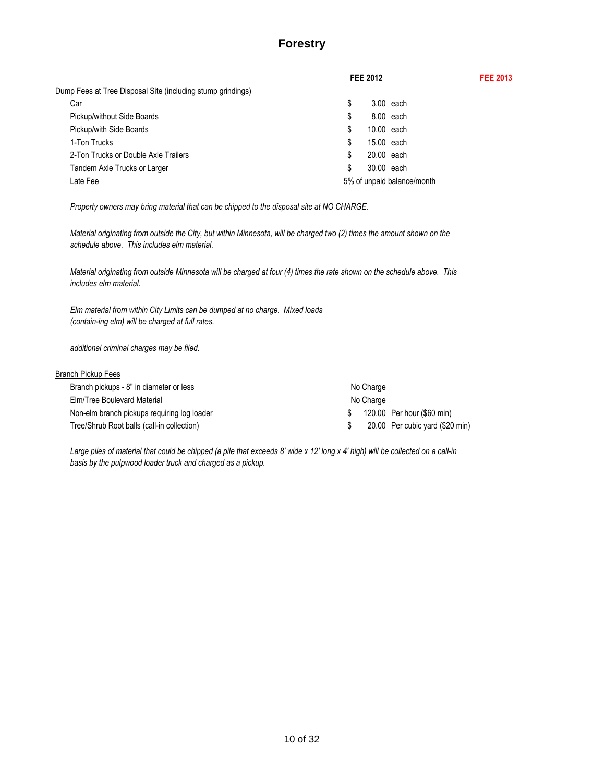# **Forestry**

**FEE 2012 FEE 2013**

|                                                             | FEE 2012                   |  |
|-------------------------------------------------------------|----------------------------|--|
| Dump Fees at Tree Disposal Site (including stump grindings) |                            |  |
| Car                                                         | \$<br>$3.00$ each          |  |
| Pickup/without Side Boards                                  | \$<br>8.00 each            |  |
| Pickup/with Side Boards                                     | \$<br>10.00 each           |  |
| 1-Ton Trucks                                                | \$<br>15.00 each           |  |
| 2-Ton Trucks or Double Axle Trailers                        | \$<br>20.00 each           |  |
| Tandem Axle Trucks or Larger                                | \$<br>30.00 each           |  |
| Late Fee                                                    | 5% of unpaid balance/month |  |
|                                                             |                            |  |

*Property owners may bring material that can be chipped to the disposal site at NO CHARGE.*

*Material originating from outside the City, but within Minnesota, will be charged two (2) times the amount shown on the schedule above. This includes elm material.*

*Material originating from outside Minnesota will be charged at four (4) times the rate shown on the schedule above. This includes elm material.*

*Elm material from within City Limits can be dumped at no charge. Mixed loads (contain-ing elm) will be charged at full rates.*

*additional criminal charges may be filed.*

### **Branch Pickup Fees**

| Branch pickups - 8" in diameter or less     | No Charge                       |
|---------------------------------------------|---------------------------------|
| Elm/Tree Boulevard Material                 | No Charge                       |
| Non-elm branch pickups requiring log loader | 120.00 Per hour (\$60 min)      |
| Tree/Shrub Root balls (call-in collection)  | 20.00 Per cubic yard (\$20 min) |

*Large piles of material that could be chipped (a pile that exceeds 8' wide x 12' long x 4' high) will be collected on a call-in basis by the pulpwood loader truck and charged as a pickup.*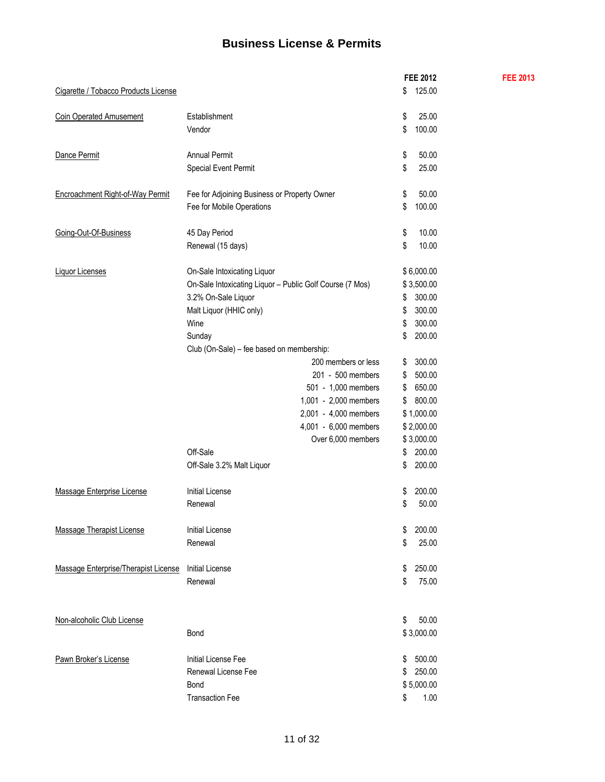# **Business License & Permits**

|                                      |                                                          | <b>FEE 2012</b> | <b>FEE 2013</b> |
|--------------------------------------|----------------------------------------------------------|-----------------|-----------------|
| Cigarette / Tobacco Products License |                                                          | 125.00<br>\$    |                 |
| <b>Coin Operated Amusement</b>       | Establishment                                            | \$<br>25.00     |                 |
|                                      | Vendor                                                   | 100.00<br>\$    |                 |
|                                      |                                                          |                 |                 |
| Dance Permit                         | <b>Annual Permit</b>                                     | \$<br>50.00     |                 |
|                                      | Special Event Permit                                     | 25.00<br>\$     |                 |
| Encroachment Right-of-Way Permit     | Fee for Adjoining Business or Property Owner             | \$<br>50.00     |                 |
|                                      | Fee for Mobile Operations                                | \$<br>100.00    |                 |
|                                      |                                                          |                 |                 |
| Going-Out-Of-Business                | 45 Day Period                                            | \$<br>10.00     |                 |
|                                      | Renewal (15 days)                                        | 10.00<br>\$     |                 |
| <b>Liquor Licenses</b>               | On-Sale Intoxicating Liquor                              | \$6,000.00      |                 |
|                                      | On-Sale Intoxicating Liquor - Public Golf Course (7 Mos) | \$3,500.00      |                 |
|                                      | 3.2% On-Sale Liquor                                      | 300.00<br>\$    |                 |
|                                      | Malt Liquor (HHIC only)                                  | 300.00<br>\$    |                 |
|                                      | Wine                                                     | 300.00<br>\$    |                 |
|                                      | Sunday                                                   | 200.00<br>\$    |                 |
|                                      | Club (On-Sale) - fee based on membership:                |                 |                 |
|                                      | 200 members or less                                      | 300.00<br>\$    |                 |
|                                      | 201 - 500 members                                        | 500.00<br>\$    |                 |
|                                      | 501 - 1,000 members                                      | 650.00<br>\$    |                 |
|                                      | 1,001 - 2,000 members                                    | 800.00<br>\$    |                 |
|                                      | 2,001 - 4,000 members                                    | \$1,000.00      |                 |
|                                      | 4,001 - 6,000 members                                    | \$2,000.00      |                 |
|                                      | Over 6,000 members                                       | \$3,000.00      |                 |
|                                      | Off-Sale                                                 | \$<br>200.00    |                 |
|                                      | Off-Sale 3.2% Malt Liquor                                | 200.00<br>\$    |                 |
|                                      |                                                          |                 |                 |
| Massage Enterprise License           | <b>Initial License</b>                                   | 200.00<br>\$    |                 |
|                                      | Renewal                                                  | 50.00<br>\$     |                 |
| <b>Massage Therapist License</b>     | Initial License                                          | 200.00<br>\$    |                 |
|                                      | Renewal                                                  | 25.00<br>\$     |                 |
|                                      |                                                          |                 |                 |
| Massage Enterprise/Therapist License | <b>Initial License</b>                                   | 250.00<br>\$    |                 |
|                                      | Renewal                                                  | 75.00<br>\$     |                 |
|                                      |                                                          |                 |                 |
| Non-alcoholic Club License           |                                                          | 50.00<br>\$     |                 |
|                                      | Bond                                                     | \$3,000.00      |                 |
|                                      |                                                          |                 |                 |
| Pawn Broker's License                | Initial License Fee                                      | 500.00<br>\$    |                 |
|                                      | Renewal License Fee                                      | 250.00<br>\$    |                 |
|                                      | Bond                                                     | \$5,000.00      |                 |
|                                      | <b>Transaction Fee</b>                                   | 1.00<br>\$      |                 |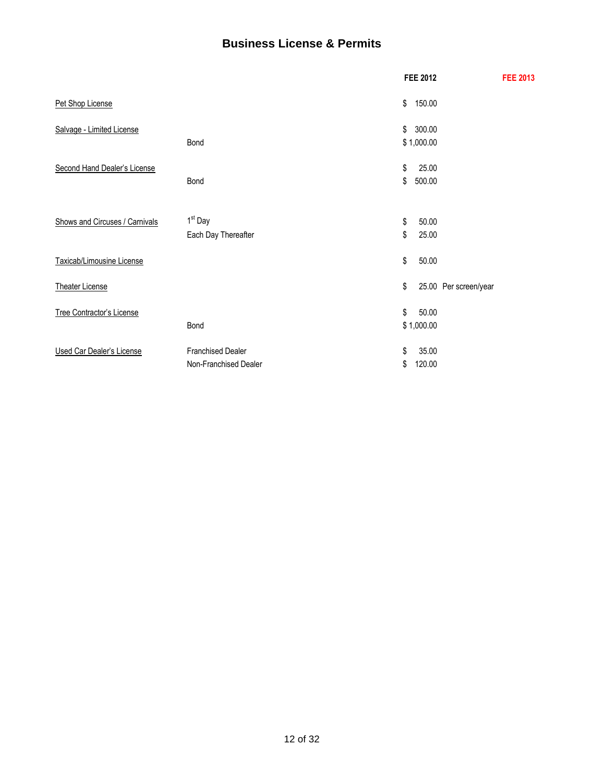# **Business License & Permits**

|                                  |                                                   |          | <b>FEE 2012</b>      |                       | <b>FEE 2013</b> |
|----------------------------------|---------------------------------------------------|----------|----------------------|-----------------------|-----------------|
| Pet Shop License                 |                                                   | \$       | 150.00               |                       |                 |
| Salvage - Limited License        | Bond                                              | \$       | 300.00<br>\$1,000.00 |                       |                 |
| Second Hand Dealer's License     | Bond                                              | \$<br>\$ | 25.00<br>500.00      |                       |                 |
| Shows and Circuses / Carnivals   | 1 <sup>st</sup> Day<br>Each Day Thereafter        | \$<br>\$ | 50.00<br>25.00       |                       |                 |
| Taxicab/Limousine License        |                                                   | \$       | 50.00                |                       |                 |
| <b>Theater License</b>           |                                                   | \$       |                      | 25.00 Per screen/year |                 |
| <b>Tree Contractor's License</b> | Bond                                              | \$       | 50.00<br>\$1,000.00  |                       |                 |
| <b>Used Car Dealer's License</b> | <b>Franchised Dealer</b><br>Non-Franchised Dealer | \$<br>\$ | 35.00<br>120.00      |                       |                 |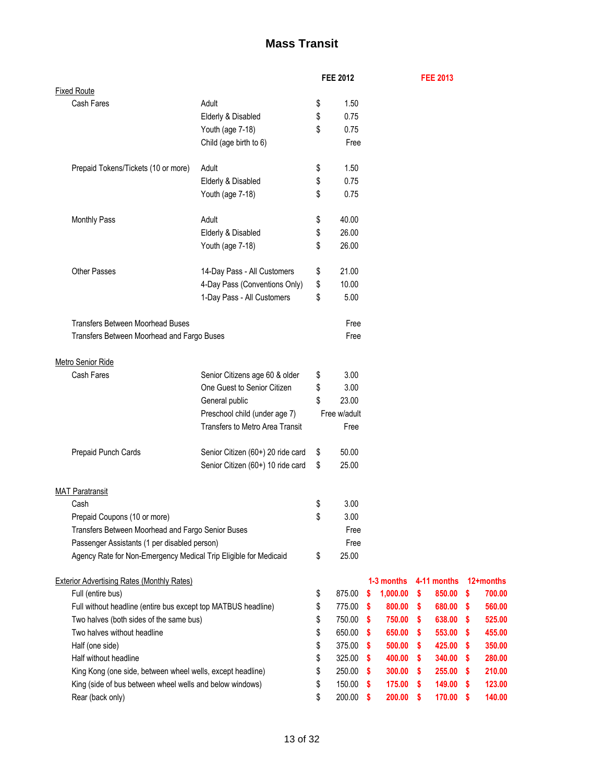# **Mass Transit**

|                                                                  |                                   | <b>FEE 2012</b> |               |          | <b>FEE 2013</b> |    |           |
|------------------------------------------------------------------|-----------------------------------|-----------------|---------------|----------|-----------------|----|-----------|
| <b>Fixed Route</b>                                               |                                   |                 |               |          |                 |    |           |
| Cash Fares                                                       | Adult                             | \$<br>1.50      |               |          |                 |    |           |
|                                                                  | Elderly & Disabled                | \$<br>0.75      |               |          |                 |    |           |
|                                                                  | Youth (age 7-18)                  | \$<br>0.75      |               |          |                 |    |           |
|                                                                  | Child (age birth to 6)            | Free            |               |          |                 |    |           |
|                                                                  |                                   |                 |               |          |                 |    |           |
| Prepaid Tokens/Tickets (10 or more)                              | Adult                             | \$<br>1.50      |               |          |                 |    |           |
|                                                                  | Elderly & Disabled                | \$<br>0.75      |               |          |                 |    |           |
|                                                                  | Youth (age 7-18)                  | \$<br>0.75      |               |          |                 |    |           |
|                                                                  |                                   |                 |               |          |                 |    |           |
| <b>Monthly Pass</b>                                              | Adult                             | \$<br>40.00     |               |          |                 |    |           |
|                                                                  | Elderly & Disabled                | \$<br>26.00     |               |          |                 |    |           |
|                                                                  | Youth (age 7-18)                  | \$<br>26.00     |               |          |                 |    |           |
|                                                                  |                                   |                 |               |          |                 |    |           |
|                                                                  |                                   |                 |               |          |                 |    |           |
| <b>Other Passes</b>                                              | 14-Day Pass - All Customers       | \$<br>21.00     |               |          |                 |    |           |
|                                                                  | 4-Day Pass (Conventions Only)     | \$<br>10.00     |               |          |                 |    |           |
|                                                                  | 1-Day Pass - All Customers        | \$<br>5.00      |               |          |                 |    |           |
|                                                                  |                                   |                 |               |          |                 |    |           |
| <b>Transfers Between Moorhead Buses</b>                          |                                   | Free            |               |          |                 |    |           |
| Transfers Between Moorhead and Fargo Buses                       |                                   | Free            |               |          |                 |    |           |
|                                                                  |                                   |                 |               |          |                 |    |           |
| Metro Senior Ride                                                |                                   |                 |               |          |                 |    |           |
| Cash Fares                                                       | Senior Citizens age 60 & older    | \$<br>3.00      |               |          |                 |    |           |
|                                                                  | One Guest to Senior Citizen       | \$<br>3.00      |               |          |                 |    |           |
|                                                                  | General public                    | \$<br>23.00     |               |          |                 |    |           |
|                                                                  | Preschool child (under age 7)     | Free w/adult    |               |          |                 |    |           |
|                                                                  | Transfers to Metro Area Transit   | Free            |               |          |                 |    |           |
|                                                                  |                                   |                 |               |          |                 |    |           |
| Prepaid Punch Cards                                              | Senior Citizen (60+) 20 ride card | \$<br>50.00     |               |          |                 |    |           |
|                                                                  | Senior Citizen (60+) 10 ride card | \$<br>25.00     |               |          |                 |    |           |
|                                                                  |                                   |                 |               |          |                 |    |           |
| <b>MAT Paratransit</b>                                           |                                   |                 |               |          |                 |    |           |
| Cash                                                             |                                   | \$<br>3.00      |               |          |                 |    |           |
| Prepaid Coupons (10 or more)                                     |                                   | 3.00            |               |          |                 |    |           |
| Transfers Between Moorhead and Fargo Senior Buses                |                                   | \$<br>Free      |               |          |                 |    |           |
| Passenger Assistants (1 per disabled person)                     |                                   | Free            |               |          |                 |    |           |
|                                                                  |                                   | 25.00           |               |          |                 |    |           |
| Agency Rate for Non-Emergency Medical Trip Eligible for Medicaid |                                   | \$              |               |          |                 |    |           |
|                                                                  |                                   |                 |               |          |                 |    | 12+months |
| <b>Exterior Advertising Rates (Monthly Rates)</b>                |                                   |                 | 1-3 months    |          | 4-11 months     |    |           |
| Full (entire bus)                                                |                                   | \$<br>875.00    | 1,000.00<br>s | \$       | 850.00          | \$ | 700.00    |
| Full without headline (entire bus except top MATBUS headline)    |                                   | \$<br>775.00    | 800.00<br>-\$ | -\$      | 680.00 \$       |    | 560.00    |
| Two halves (both sides of the same bus)                          |                                   | \$<br>750.00    | 750.00<br>-S  | -S       | 638.00          | -S | 525.00    |
| Two halves without headline                                      |                                   | \$<br>650.00    | 650.00<br>-S  | -S       | 553.00          | -S | 455.00    |
| Half (one side)                                                  |                                   | \$<br>375.00    | -\$<br>500.00 | -S       | 425.00 \$       |    | 350.00    |
| Half without headline                                            |                                   | \$<br>325.00    | 400.00<br>-S  | <b>S</b> | 340.00          | -S | 280.00    |
| King Kong (one side, between wheel wells, except headline)       |                                   | \$<br>250.00    | 300.00<br>-S  | \$       | 255.00          | -S | 210.00    |
| King (side of bus between wheel wells and below windows)         |                                   | \$<br>150.00    | 175.00<br>-S  | \$       | $149.00$ \$     |    | 123.00    |
| Rear (back only)                                                 |                                   | \$<br>200.00    | 200.00<br>s   | -S       | 170.00          | \$ | 140.00    |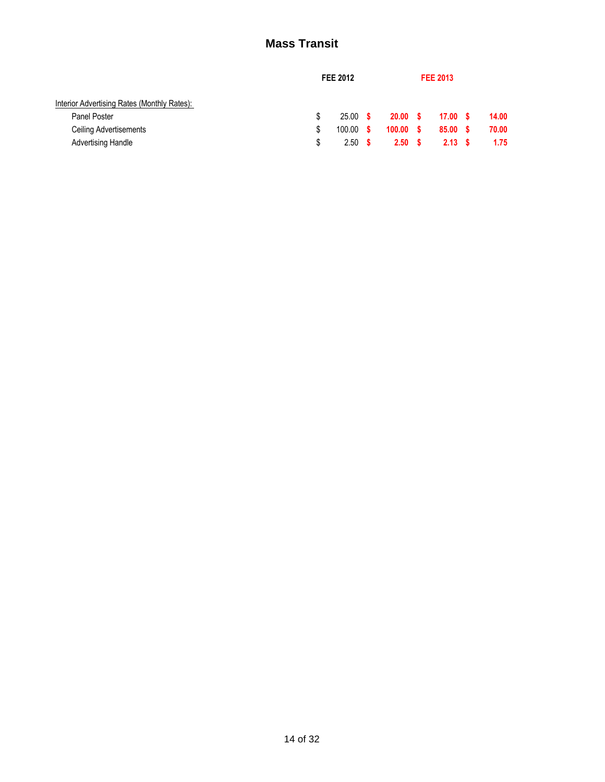# **Mass Transit**

|                                             | <b>FEE 2012</b>   |                   | <b>FEE 2013</b>   |  |       |
|---------------------------------------------|-------------------|-------------------|-------------------|--|-------|
| Interior Advertising Rates (Monthly Rates): |                   |                   |                   |  |       |
| Panel Poster                                | $25.00$ \$        | 20.00 S           | 17.00 \$          |  | 14.00 |
| Ceiling Advertisements                      | $100.00$ \$       | 100.00 S          | 85.00 S           |  | 70.00 |
| <b>Advertising Handle</b>                   | 2.50 <sup>5</sup> | 2.50 <sub>5</sub> | 2.13 <sup>5</sup> |  | 1.75  |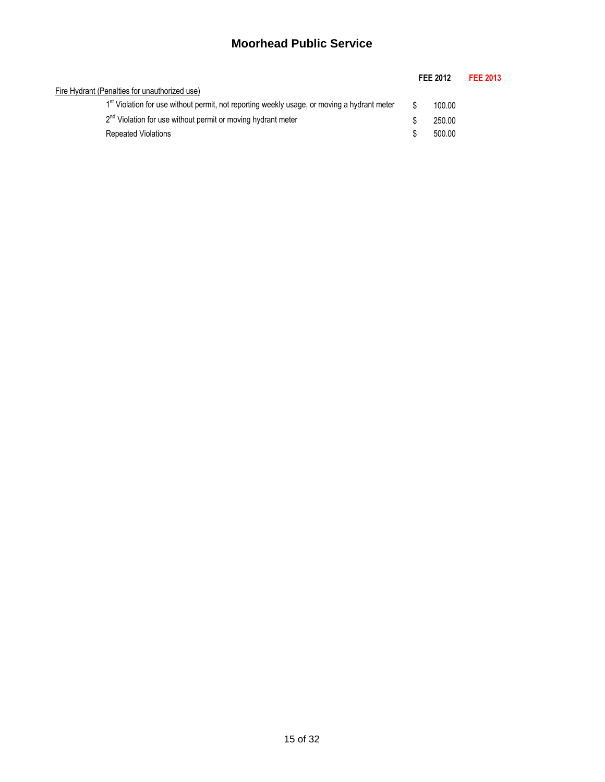# **Moorhead Public Service**

|                                                                                             |  | FEE 2012 | <b>FEE 2013</b> |
|---------------------------------------------------------------------------------------------|--|----------|-----------------|
| Fire Hydrant (Penalties for unauthorized use)                                               |  |          |                 |
| 1st Violation for use without permit, not reporting weekly usage, or moving a hydrant meter |  | 100.00   |                 |
| 2 <sup>nd</sup> Violation for use without permit or moving hydrant meter                    |  | 250.00   |                 |
| <b>Repeated Violations</b>                                                                  |  | 500.00   |                 |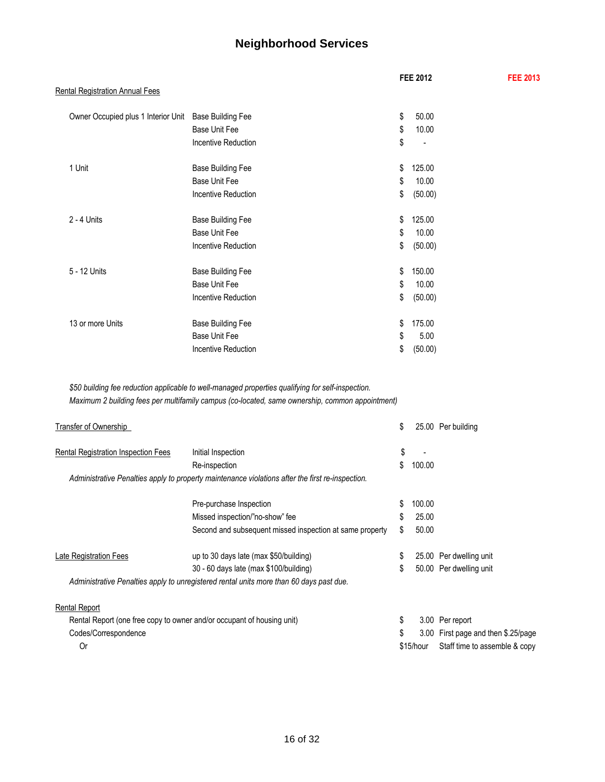# **Neighborhood Services**

|                                        |                          | <b>FEE 2012</b> | <b>FEE 2013</b> |
|----------------------------------------|--------------------------|-----------------|-----------------|
| <b>Rental Registration Annual Fees</b> |                          |                 |                 |
| Owner Occupied plus 1 Interior Unit    | <b>Base Building Fee</b> | \$<br>50.00     |                 |
|                                        | <b>Base Unit Fee</b>     | \$<br>10.00     |                 |
|                                        | Incentive Reduction      | \$              |                 |
| 1 Unit                                 | <b>Base Building Fee</b> | \$<br>125.00    |                 |
|                                        | <b>Base Unit Fee</b>     | \$<br>10.00     |                 |
|                                        | Incentive Reduction      | \$<br>(50.00)   |                 |
| 2 - 4 Units                            | <b>Base Building Fee</b> | \$<br>125.00    |                 |
|                                        | <b>Base Unit Fee</b>     | \$<br>10.00     |                 |
|                                        | Incentive Reduction      | \$<br>(50.00)   |                 |
| 5 - 12 Units                           | <b>Base Building Fee</b> | \$<br>150.00    |                 |
|                                        | <b>Base Unit Fee</b>     | \$<br>10.00     |                 |
|                                        | Incentive Reduction      | \$<br>(50.00)   |                 |
| 13 or more Units                       | <b>Base Building Fee</b> | \$<br>175.00    |                 |
|                                        | Base Unit Fee            | \$<br>5.00      |                 |
|                                        | Incentive Reduction      | \$<br>(50.00)   |                 |

*\$50 building fee reduction applicable to well-managed properties qualifying for self-inspection. Maximum 2 building fees per multifamily campus (co-located, same ownership, common appointment)*

| Transfer of Ownership                      |                                                                                                  | \$           | 25.00 Per building                  |
|--------------------------------------------|--------------------------------------------------------------------------------------------------|--------------|-------------------------------------|
| <b>Rental Registration Inspection Fees</b> | Initial Inspection                                                                               | \$           |                                     |
|                                            | Re-inspection                                                                                    | \$<br>100.00 |                                     |
|                                            | Administrative Penalties apply to property maintenance violations after the first re-inspection. |              |                                     |
|                                            | Pre-purchase Inspection                                                                          | 100.00       |                                     |
|                                            | Missed inspection/"no-show" fee                                                                  | 25.00        |                                     |
|                                            | Second and subsequent missed inspection at same property                                         | \$<br>50.00  |                                     |
| Late Registration Fees                     | up to 30 days late (max \$50/building)                                                           |              | 25.00 Per dwelling unit             |
|                                            | 30 - 60 days late (max \$100/building)                                                           | \$           | 50.00 Per dwelling unit             |
|                                            | Administrative Penalties apply to unregistered rental units more than 60 days past due.          |              |                                     |
| <b>Rental Report</b>                       |                                                                                                  |              |                                     |
|                                            | Rental Report (one free copy to owner and/or occupant of housing unit)                           | \$           | 3.00 Per report                     |
| Codes/Correspondence                       |                                                                                                  | \$           | 3.00 First page and then \$.25/page |
| 0r                                         |                                                                                                  | \$15/hour    | Staff time to assemble & copy       |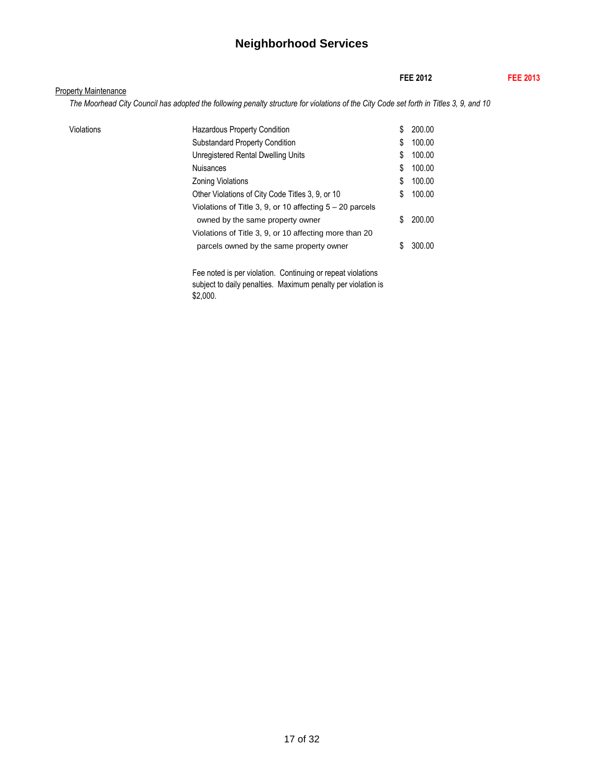# **Neighborhood Services**

|                             |                                                                                                                                        |    | <b>FEE 2012</b> | <b>FEE 2013</b> |
|-----------------------------|----------------------------------------------------------------------------------------------------------------------------------------|----|-----------------|-----------------|
| <b>Property Maintenance</b> |                                                                                                                                        |    |                 |                 |
|                             | The Moorhead City Council has adopted the following penalty structure for violations of the City Code set forth in Titles 3, 9, and 10 |    |                 |                 |
| Violations                  | <b>Hazardous Property Condition</b>                                                                                                    | \$ | 200.00          |                 |
|                             | <b>Substandard Property Condition</b>                                                                                                  | S  | 100.00          |                 |
|                             | Unregistered Rental Dwelling Units                                                                                                     | \$ | 100.00          |                 |
|                             | <b>Nuisances</b>                                                                                                                       | S  | 100.00          |                 |
|                             | <b>Zoning Violations</b>                                                                                                               | \$ | 100.00          |                 |
|                             | Other Violations of City Code Titles 3, 9, or 10                                                                                       | S  | 100.00          |                 |
|                             | Violations of Title 3, 9, or 10 affecting $5 - 20$ parcels                                                                             |    |                 |                 |
|                             | owned by the same property owner                                                                                                       | S  | 200.00          |                 |
|                             | Violations of Title 3, 9, or 10 affecting more than 20                                                                                 |    |                 |                 |
|                             | parcels owned by the same property owner                                                                                               |    | 300.00          |                 |

Fee noted is per violation. Continuing or repeat violations subject to daily penalties. Maximum penalty per violation is \$2,000.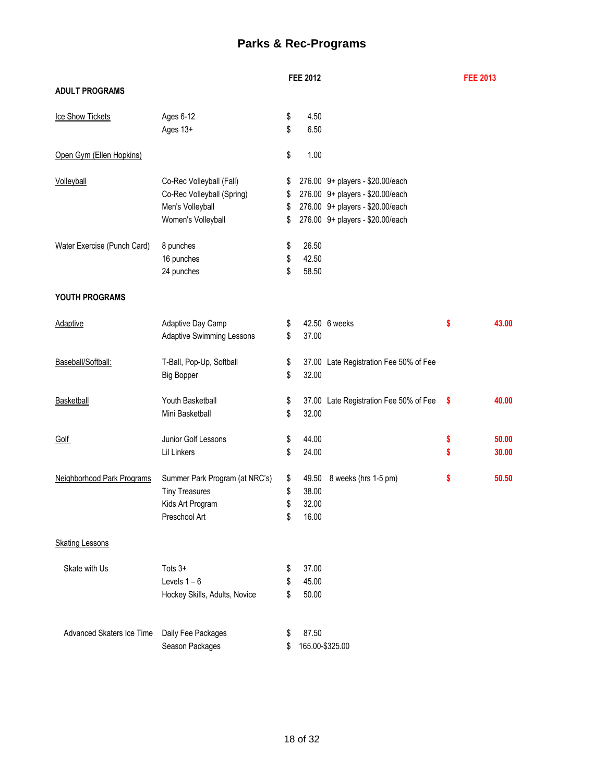# **Parks & Rec-Programs**

|                             |                                  | <b>FEE 2012</b> |                                        |    | <b>FEE 2013</b> |
|-----------------------------|----------------------------------|-----------------|----------------------------------------|----|-----------------|
| <b>ADULT PROGRAMS</b>       |                                  |                 |                                        |    |                 |
| Ice Show Tickets            | Ages 6-12                        | \$<br>4.50      |                                        |    |                 |
|                             | Ages 13+                         | \$<br>6.50      |                                        |    |                 |
| Open Gym (Ellen Hopkins)    |                                  | \$<br>1.00      |                                        |    |                 |
| Volleyball                  | Co-Rec Volleyball (Fall)         | \$              | 276.00 9+ players - \$20.00/each       |    |                 |
|                             | Co-Rec Volleyball (Spring)       | \$              | 276.00 9+ players - \$20.00/each       |    |                 |
|                             | Men's Volleyball                 | \$              | 276.00 9+ players - \$20.00/each       |    |                 |
|                             | Women's Volleyball               | \$              | 276.00 9+ players - \$20.00/each       |    |                 |
| Water Exercise (Punch Card) | 8 punches                        | \$<br>26.50     |                                        |    |                 |
|                             | 16 punches                       | \$<br>42.50     |                                        |    |                 |
|                             | 24 punches                       | \$<br>58.50     |                                        |    |                 |
| YOUTH PROGRAMS              |                                  |                 |                                        |    |                 |
| Adaptive                    | Adaptive Day Camp                | \$              | 42.50 6 weeks                          | \$ | 43.00           |
|                             | <b>Adaptive Swimming Lessons</b> | \$<br>37.00     |                                        |    |                 |
| Baseball/Softball:          | T-Ball, Pop-Up, Softball         | \$              | 37.00 Late Registration Fee 50% of Fee |    |                 |
|                             | <b>Big Bopper</b>                | \$<br>32.00     |                                        |    |                 |
| Basketball                  | Youth Basketball                 | \$              | 37.00 Late Registration Fee 50% of Fee | S  | 40.00           |
|                             | Mini Basketball                  | \$<br>32.00     |                                        |    |                 |
| Golf                        | Junior Golf Lessons              | \$<br>44.00     |                                        | \$ | 50.00           |
|                             | Lil Linkers                      | \$<br>24.00     |                                        | \$ | 30.00           |
| Neighborhood Park Programs  | Summer Park Program (at NRC's)   | \$<br>49.50     | 8 weeks (hrs 1-5 pm)                   | \$ | 50.50           |
|                             | <b>Tiny Treasures</b>            | \$<br>38.00     |                                        |    |                 |
|                             | Kids Art Program                 | \$<br>32.00     |                                        |    |                 |
|                             | Preschool Art                    | \$<br>16.00     |                                        |    |                 |
| <b>Skating Lessons</b>      |                                  |                 |                                        |    |                 |
| Skate with Us               | Tots $3+$                        | \$<br>37.00     |                                        |    |                 |
|                             | Levels $1-6$                     | \$<br>45.00     |                                        |    |                 |
|                             | Hockey Skills, Adults, Novice    | \$<br>50.00     |                                        |    |                 |
| Advanced Skaters Ice Time   | Daily Fee Packages               | 87.50           |                                        |    |                 |
|                             | Season Packages                  |                 | 165.00-\$325.00                        |    |                 |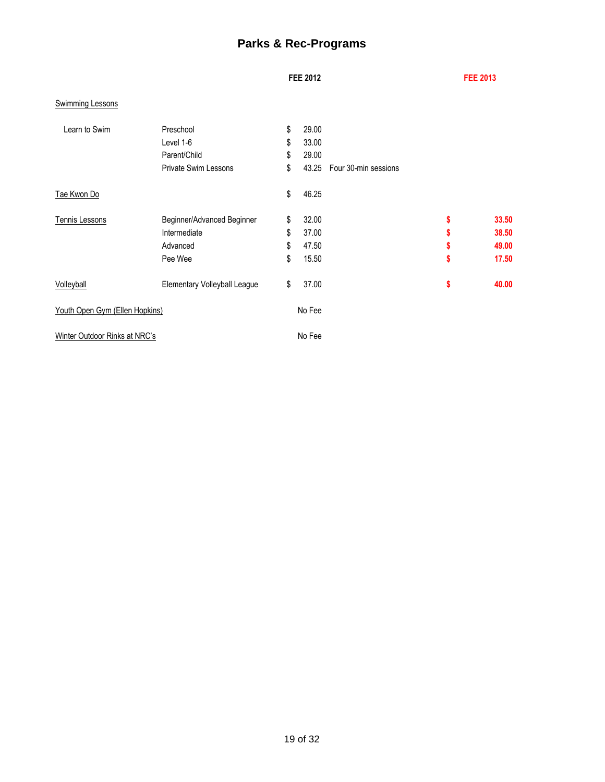# **Parks & Rec-Programs**

## **FEE 2012 FEE 2013**

## Swimming Lessons

| Learn to Swim                  | Preschool<br>Level 1-6       | \$<br>\$ | 29.00<br>33.00 |                      |             |
|--------------------------------|------------------------------|----------|----------------|----------------------|-------------|
|                                | Parent/Child                 | \$       | 29.00          |                      |             |
|                                | <b>Private Swim Lessons</b>  | \$       | 43.25          | Four 30-min sessions |             |
| Tae Kwon Do                    |                              | \$       | 46.25          |                      |             |
| Tennis Lessons                 | Beginner/Advanced Beginner   | \$       | 32.00          |                      | \$<br>33.50 |
|                                | Intermediate                 | \$       | 37.00          |                      | \$<br>38.50 |
|                                | Advanced                     | \$       | 47.50          |                      | \$<br>49.00 |
|                                | Pee Wee                      | \$       | 15.50          |                      | \$<br>17.50 |
| Volleyball                     | Elementary Volleyball League | \$       | 37.00          |                      | \$<br>40.00 |
| Youth Open Gym (Ellen Hopkins) |                              |          | No Fee         |                      |             |
| Winter Outdoor Rinks at NRC's  |                              |          | No Fee         |                      |             |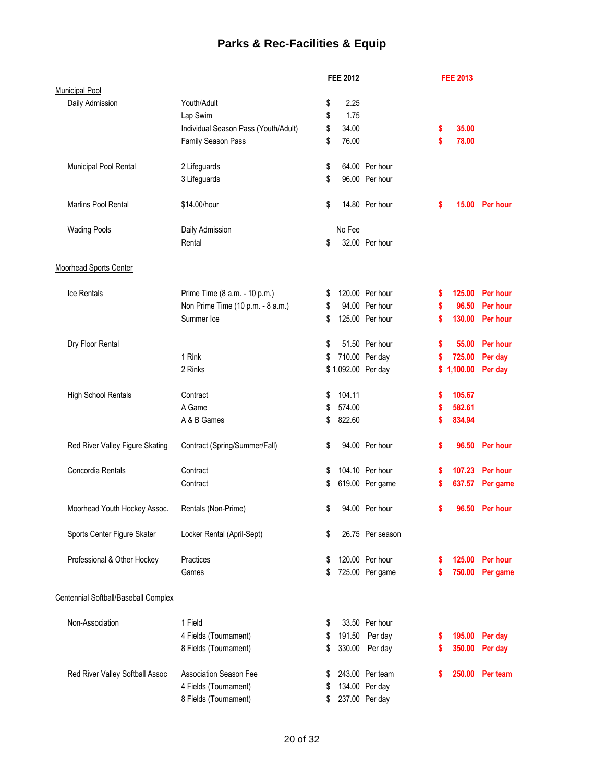# **Parks & Rec-Facilities & Equip**

|                                      |                                      |    | <b>FEE 2012</b> |                    |    | <b>FEE 2013</b> |                 |
|--------------------------------------|--------------------------------------|----|-----------------|--------------------|----|-----------------|-----------------|
| <b>Municipal Pool</b>                |                                      |    |                 |                    |    |                 |                 |
| Daily Admission                      | Youth/Adult                          | \$ | 2.25            |                    |    |                 |                 |
|                                      | Lap Swim                             | \$ | 1.75            |                    |    |                 |                 |
|                                      | Individual Season Pass (Youth/Adult) | \$ | 34.00           |                    | \$ | 35.00           |                 |
|                                      | Family Season Pass                   | \$ | 76.00           |                    | \$ | 78.00           |                 |
| Municipal Pool Rental                | 2 Lifeguards                         |    |                 | 64.00 Per hour     |    |                 |                 |
|                                      |                                      | \$ |                 | 96.00 Per hour     |    |                 |                 |
|                                      | 3 Lifeguards                         | \$ |                 |                    |    |                 |                 |
| <b>Marlins Pool Rental</b>           | \$14.00/hour                         | \$ |                 | 14.80 Per hour     | \$ |                 | 15.00 Per hour  |
| <b>Wading Pools</b>                  | Daily Admission                      |    | No Fee          |                    |    |                 |                 |
|                                      | Rental                               | \$ |                 | 32.00 Per hour     |    |                 |                 |
| <b>Moorhead Sports Center</b>        |                                      |    |                 |                    |    |                 |                 |
| <b>Ice Rentals</b>                   | Prime Time (8 a.m. - 10 p.m.)        | \$ |                 | 120.00 Per hour    | s  |                 | 125.00 Per hour |
|                                      | Non Prime Time (10 p.m. - 8 a.m.)    | \$ |                 | 94.00 Per hour     | \$ | 96.50           | Per hour        |
|                                      | Summer Ice                           | \$ |                 | 125.00 Per hour    | \$ |                 | 130.00 Per hour |
| Dry Floor Rental                     |                                      | \$ |                 | 51.50 Per hour     | \$ | 55.00           | Per hour        |
|                                      | 1 Rink                               |    |                 | 710.00 Per day     |    | 725.00          |                 |
|                                      |                                      | \$ |                 |                    | \$ |                 | Per day         |
|                                      | 2 Rinks                              |    |                 | \$1,092.00 Per day |    | \$1,100.00      | Per day         |
| <b>High School Rentals</b>           | Contract                             | \$ | 104.11          |                    | \$ | 105.67          |                 |
|                                      | A Game                               | \$ | 574.00          |                    | \$ | 582.61          |                 |
|                                      | A & B Games                          | \$ | 822.60          |                    | \$ | 834.94          |                 |
| Red River Valley Figure Skating      | Contract (Spring/Summer/Fall)        | \$ |                 | 94.00 Per hour     | \$ |                 | 96.50 Per hour  |
| Concordia Rentals                    | Contract                             | S  |                 | 104.10 Per hour    | \$ |                 | 107.23 Per hour |
|                                      | Contract                             | \$ |                 | 619.00 Per game    | \$ | 637.57          | Per game        |
| Moorhead Youth Hockey Assoc.         | Rentals (Non-Prime)                  | \$ |                 | 94.00 Per hour     | \$ |                 | 96.50 Per hour  |
| Sports Center Figure Skater          | Locker Rental (April-Sept)           | \$ |                 | 26.75 Per season   |    |                 |                 |
| Professional & Other Hockey          | Practices                            | S  |                 | 120.00 Per hour    | s  |                 | 125.00 Per hour |
|                                      | Games                                | S  |                 | 725.00 Per game    | S  | 750.00          | Per game        |
| Centennial Softball/Baseball Complex |                                      |    |                 |                    |    |                 |                 |
| Non-Association                      | 1 Field                              | S  |                 | 33.50 Per hour     |    |                 |                 |
|                                      | 4 Fields (Tournament)                | \$ | 191.50          | Per day            | s  | 195.00          | Per day         |
|                                      | 8 Fields (Tournament)                | \$ | 330.00          | Per day            | s  | 350.00          | Per day         |
|                                      |                                      |    |                 |                    |    |                 |                 |
| Red River Valley Softball Assoc      | <b>Association Season Fee</b>        | \$ |                 | 243.00 Per team    | S  |                 | 250.00 Per team |
|                                      | 4 Fields (Tournament)                | \$ |                 | 134.00 Per day     |    |                 |                 |
|                                      | 8 Fields (Tournament)                |    |                 | 237.00 Per day     |    |                 |                 |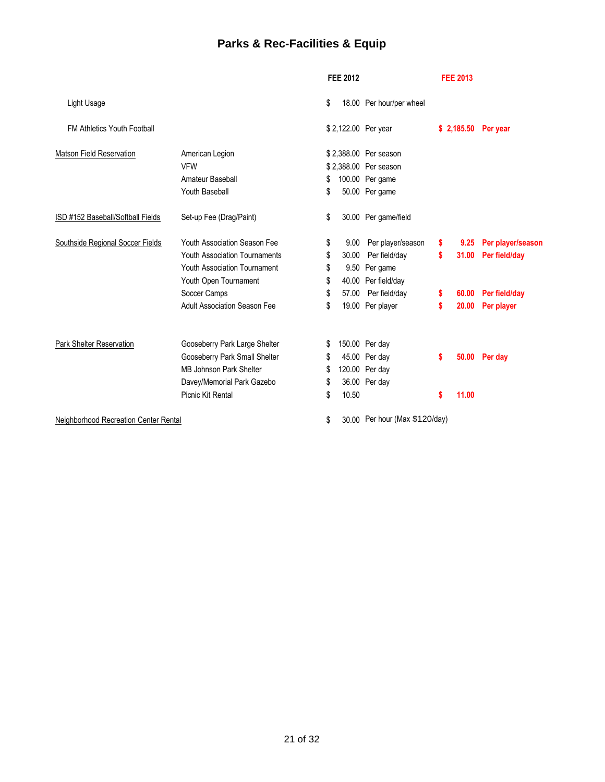# **Parks & Rec-Facilities & Equip**

|                                       |                                      |    | <b>FEE 2012</b> |                                |    | <b>FEE 2013</b> |                      |
|---------------------------------------|--------------------------------------|----|-----------------|--------------------------------|----|-----------------|----------------------|
| Light Usage                           |                                      | \$ |                 | 18.00 Per hour/per wheel       |    |                 |                      |
| <b>FM Athletics Youth Football</b>    |                                      |    |                 | \$2,122.00 Per year            |    |                 | \$ 2,185.50 Per year |
| <b>Matson Field Reservation</b>       | American Legion                      |    |                 | \$2,388.00 Per season          |    |                 |                      |
|                                       | <b>VFW</b>                           |    |                 | \$2,388.00 Per season          |    |                 |                      |
|                                       | Amateur Baseball                     | S  |                 | 100.00 Per game                |    |                 |                      |
|                                       | <b>Youth Baseball</b>                | \$ |                 | 50.00 Per game                 |    |                 |                      |
| ISD #152 Baseball/Softball Fields     | Set-up Fee (Drag/Paint)              | \$ |                 | 30.00 Per game/field           |    |                 |                      |
| Southside Regional Soccer Fields      | Youth Association Season Fee         | \$ | 9.00            | Per player/season              | s  | 9.25            | Per player/season    |
|                                       | <b>Youth Association Tournaments</b> | \$ | 30.00           | Per field/day                  | s  | 31.00           | Per field/day        |
|                                       | <b>Youth Association Tournament</b>  | \$ |                 | 9.50 Per game                  |    |                 |                      |
|                                       | Youth Open Tournament                | \$ |                 | 40.00 Per field/day            |    |                 |                      |
|                                       | Soccer Camps                         | \$ |                 | 57.00 Per field/day            | \$ | 60.00           | Per field/day        |
|                                       | <b>Adult Association Season Fee</b>  | \$ |                 | 19.00 Per player               | \$ | 20.00           | Per player           |
| Park Shelter Reservation              | Gooseberry Park Large Shelter        | S  |                 | 150.00 Per day                 |    |                 |                      |
|                                       | Gooseberry Park Small Shelter        | S  |                 | 45.00 Per day                  | s  | 50.00           | Per day              |
|                                       | MB Johnson Park Shelter              | S  |                 | 120.00 Per day                 |    |                 |                      |
|                                       | Davey/Memorial Park Gazebo           | \$ |                 | 36.00 Per day                  |    |                 |                      |
|                                       | Picnic Kit Rental                    | \$ | 10.50           |                                | S  | 11.00           |                      |
| Neighborhood Recreation Center Rental |                                      | \$ |                 | 30.00 Per hour (Max \$120/day) |    |                 |                      |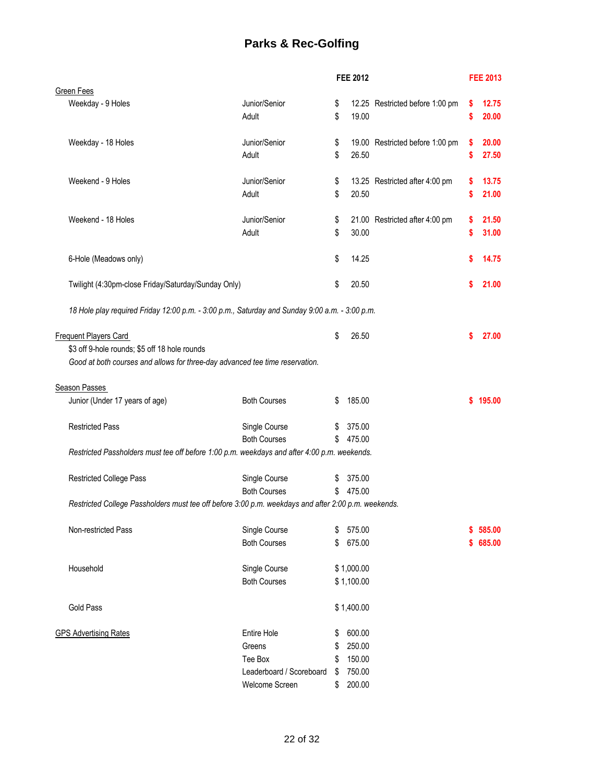# **Parks & Rec-Golfing**

|                                                                                                     |                          |    | <b>FEE 2012</b> |                                 |    | <b>FEE 2013</b> |
|-----------------------------------------------------------------------------------------------------|--------------------------|----|-----------------|---------------------------------|----|-----------------|
| <b>Green Fees</b>                                                                                   |                          |    |                 |                                 |    |                 |
| Weekday - 9 Holes                                                                                   | Junior/Senior            | \$ |                 | 12.25 Restricted before 1:00 pm | \$ | 12.75           |
|                                                                                                     | Adult                    | \$ | 19.00           |                                 | \$ | 20.00           |
|                                                                                                     |                          |    |                 |                                 |    |                 |
|                                                                                                     |                          |    |                 |                                 |    |                 |
| Weekday - 18 Holes                                                                                  | Junior/Senior            | \$ |                 | 19.00 Restricted before 1:00 pm | \$ | 20.00           |
|                                                                                                     | Adult                    | \$ | 26.50           |                                 | \$ | 27.50           |
|                                                                                                     |                          |    |                 |                                 |    |                 |
| Weekend - 9 Holes                                                                                   | Junior/Senior            | \$ |                 | 13.25 Restricted after 4:00 pm  | s  | 13.75           |
|                                                                                                     | Adult                    | \$ | 20.50           |                                 | \$ | 21.00           |
|                                                                                                     |                          |    |                 |                                 |    |                 |
| Weekend - 18 Holes                                                                                  | Junior/Senior            | \$ |                 | 21.00 Restricted after 4:00 pm  | \$ | 21.50           |
|                                                                                                     | Adult                    | \$ | 30.00           |                                 | \$ | 31.00           |
|                                                                                                     |                          |    |                 |                                 |    |                 |
| 6-Hole (Meadows only)                                                                               |                          | \$ | 14.25           |                                 | \$ | 14.75           |
|                                                                                                     |                          |    |                 |                                 |    |                 |
| Twilight (4:30pm-close Friday/Saturday/Sunday Only)                                                 |                          | \$ | 20.50           |                                 | \$ | 21.00           |
|                                                                                                     |                          |    |                 |                                 |    |                 |
| 18 Hole play required Friday 12:00 p.m. - 3:00 p.m., Saturday and Sunday 9:00 a.m. - 3:00 p.m.      |                          |    |                 |                                 |    |                 |
|                                                                                                     |                          |    |                 |                                 |    |                 |
|                                                                                                     |                          |    |                 |                                 |    |                 |
| <b>Frequent Players Card</b>                                                                        |                          | \$ | 26.50           |                                 | \$ | 27.00           |
| \$3 off 9-hole rounds; \$5 off 18 hole rounds                                                       |                          |    |                 |                                 |    |                 |
| Good at both courses and allows for three-day advanced tee time reservation.                        |                          |    |                 |                                 |    |                 |
|                                                                                                     |                          |    |                 |                                 |    |                 |
| Season Passes                                                                                       |                          |    |                 |                                 |    |                 |
| Junior (Under 17 years of age)                                                                      | <b>Both Courses</b>      | \$ | 185.00          |                                 |    | \$195.00        |
|                                                                                                     |                          |    |                 |                                 |    |                 |
| <b>Restricted Pass</b>                                                                              | Single Course            | \$ | 375.00          |                                 |    |                 |
|                                                                                                     | <b>Both Courses</b>      | \$ | 475.00          |                                 |    |                 |
| Restricted Passholders must tee off before 1:00 p.m. weekdays and after 4:00 p.m. weekends.         |                          |    |                 |                                 |    |                 |
|                                                                                                     |                          |    |                 |                                 |    |                 |
| <b>Restricted College Pass</b>                                                                      | Single Course            | \$ | 375.00          |                                 |    |                 |
|                                                                                                     | <b>Both Courses</b>      | \$ | 475.00          |                                 |    |                 |
|                                                                                                     |                          |    |                 |                                 |    |                 |
| Restricted College Passholders must tee off before 3:00 p.m. weekdays and after 2:00 p.m. weekends. |                          |    |                 |                                 |    |                 |
|                                                                                                     |                          |    |                 |                                 |    |                 |
| Non-restricted Pass                                                                                 | Single Course            | S  | 575.00          |                                 | S. | 585.00          |
|                                                                                                     | <b>Both Courses</b>      | \$ | 675.00          |                                 | \$ | 685.00          |
|                                                                                                     |                          |    |                 |                                 |    |                 |
| Household                                                                                           | Single Course            |    | \$1,000.00      |                                 |    |                 |
|                                                                                                     | <b>Both Courses</b>      |    | \$1,100.00      |                                 |    |                 |
|                                                                                                     |                          |    |                 |                                 |    |                 |
| <b>Gold Pass</b>                                                                                    |                          |    | \$1,400.00      |                                 |    |                 |
|                                                                                                     |                          |    |                 |                                 |    |                 |
| <b>GPS Advertising Rates</b>                                                                        | <b>Entire Hole</b>       | \$ | 600.00          |                                 |    |                 |
|                                                                                                     | Greens                   | \$ | 250.00          |                                 |    |                 |
|                                                                                                     | Tee Box                  | \$ | 150.00          |                                 |    |                 |
|                                                                                                     |                          |    | 750.00          |                                 |    |                 |
|                                                                                                     | Leaderboard / Scoreboard | \$ |                 |                                 |    |                 |
|                                                                                                     | Welcome Screen           | \$ | 200.00          |                                 |    |                 |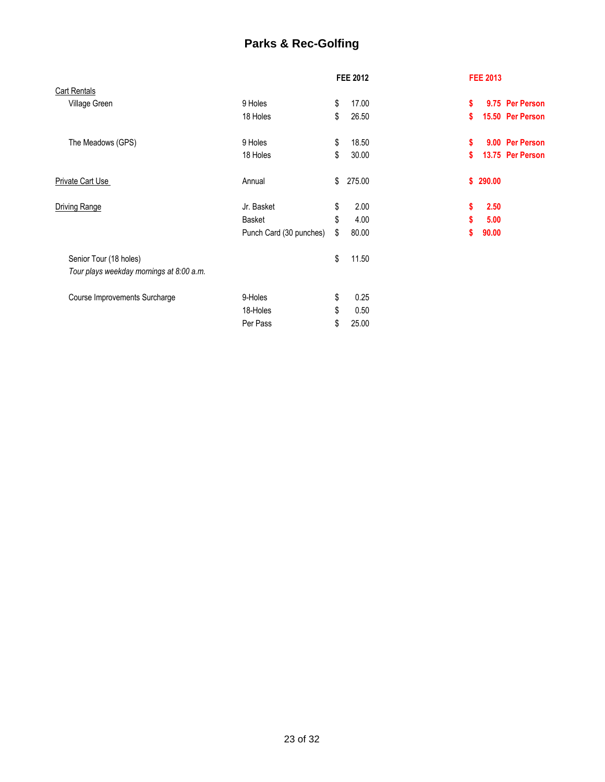# **Parks & Rec-Golfing**

|                                          |                         | <b>FEE 2012</b> |        | <b>FEE 2013</b> |        |                  |
|------------------------------------------|-------------------------|-----------------|--------|-----------------|--------|------------------|
| <b>Cart Rentals</b>                      |                         |                 |        |                 |        |                  |
| Village Green                            | 9 Holes                 | \$              | 17.00  | \$              |        | 9.75 Per Person  |
|                                          | 18 Holes                | \$              | 26.50  | \$              |        | 15.50 Per Person |
| The Meadows (GPS)                        | 9 Holes                 | \$              | 18.50  | \$              |        | 9.00 Per Person  |
|                                          | 18 Holes                | \$              | 30.00  | \$              |        | 13.75 Per Person |
| <b>Private Cart Use</b>                  | Annual                  | \$              | 275.00 | \$.             | 290.00 |                  |
| <b>Driving Range</b>                     | Jr. Basket              | \$              | 2.00   | \$              | 2.50   |                  |
|                                          | Basket                  | \$              | 4.00   | \$              | 5.00   |                  |
|                                          | Punch Card (30 punches) | \$              | 80.00  | S               | 90.00  |                  |
| Senior Tour (18 holes)                   |                         | \$              | 11.50  |                 |        |                  |
| Tour plays weekday mornings at 8:00 a.m. |                         |                 |        |                 |        |                  |
| Course Improvements Surcharge            | 9-Holes                 | \$              | 0.25   |                 |        |                  |
|                                          | 18-Holes                | \$              | 0.50   |                 |        |                  |
|                                          | Per Pass                | \$              | 25.00  |                 |        |                  |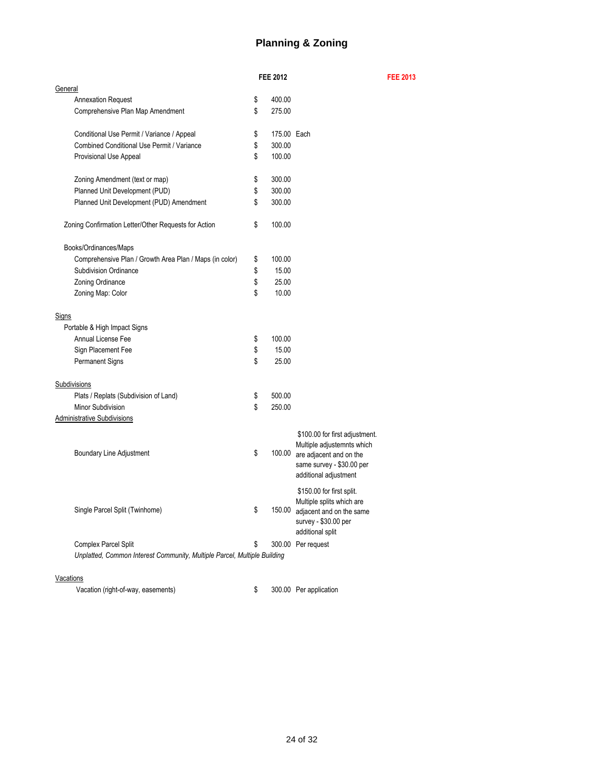## **Planning & Zoning**

**FEE 2012 FEE 2013**

|                                                                          | <b>FEE 2012</b>   |                                                                                                                                               |
|--------------------------------------------------------------------------|-------------------|-----------------------------------------------------------------------------------------------------------------------------------------------|
| <b>General</b>                                                           |                   |                                                                                                                                               |
| <b>Annexation Request</b>                                                | \$<br>400.00      |                                                                                                                                               |
| Comprehensive Plan Map Amendment                                         | \$<br>275.00      |                                                                                                                                               |
|                                                                          |                   |                                                                                                                                               |
| Conditional Use Permit / Variance / Appeal                               | \$<br>175.00 Each |                                                                                                                                               |
| <b>Combined Conditional Use Permit / Variance</b>                        | \$<br>300.00      |                                                                                                                                               |
| Provisional Use Appeal                                                   | \$<br>100.00      |                                                                                                                                               |
|                                                                          |                   |                                                                                                                                               |
| Zoning Amendment (text or map)                                           | \$<br>300.00      |                                                                                                                                               |
| Planned Unit Development (PUD)                                           | \$<br>300.00      |                                                                                                                                               |
| Planned Unit Development (PUD) Amendment                                 | \$<br>300.00      |                                                                                                                                               |
|                                                                          |                   |                                                                                                                                               |
| Zoning Confirmation Letter/Other Requests for Action                     | \$<br>100.00      |                                                                                                                                               |
| Books/Ordinances/Maps                                                    |                   |                                                                                                                                               |
| Comprehensive Plan / Growth Area Plan / Maps (in color)                  | \$<br>100.00      |                                                                                                                                               |
| <b>Subdivision Ordinance</b>                                             | \$<br>15.00       |                                                                                                                                               |
|                                                                          | 25.00             |                                                                                                                                               |
| Zoning Ordinance                                                         | \$                |                                                                                                                                               |
| Zoning Map: Color                                                        | \$<br>10.00       |                                                                                                                                               |
| <b>Signs</b>                                                             |                   |                                                                                                                                               |
| Portable & High Impact Signs                                             |                   |                                                                                                                                               |
| <b>Annual License Fee</b>                                                | \$<br>100.00      |                                                                                                                                               |
|                                                                          |                   |                                                                                                                                               |
| Sign Placement Fee                                                       | \$<br>15.00       |                                                                                                                                               |
| <b>Permanent Signs</b>                                                   | \$<br>25.00       |                                                                                                                                               |
| Subdivisions                                                             |                   |                                                                                                                                               |
| Plats / Replats (Subdivision of Land)                                    | \$<br>500.00      |                                                                                                                                               |
| Minor Subdivision                                                        | \$<br>250.00      |                                                                                                                                               |
|                                                                          |                   |                                                                                                                                               |
| <b>Administrative Subdivisions</b>                                       |                   |                                                                                                                                               |
| <b>Boundary Line Adjustment</b>                                          | \$<br>100.00      | \$100.00 for first adjustment.<br>Multiple adjustemnts which<br>are adjacent and on the<br>same survey - \$30.00 per<br>additional adjustment |
| Single Parcel Split (Twinhome)                                           | \$<br>150.00      | \$150.00 for first split.<br>Multiple splits which are<br>adjacent and on the same<br>survey - \$30.00 per<br>additional split                |
| <b>Complex Parcel Split</b>                                              | \$                | 300.00 Per request                                                                                                                            |
| Unplatted, Common Interest Community, Multiple Parcel, Multiple Building |                   |                                                                                                                                               |
|                                                                          |                   |                                                                                                                                               |

#### **Vacations**

Vacation (right-of-way, easements) \$ 300.00 Per application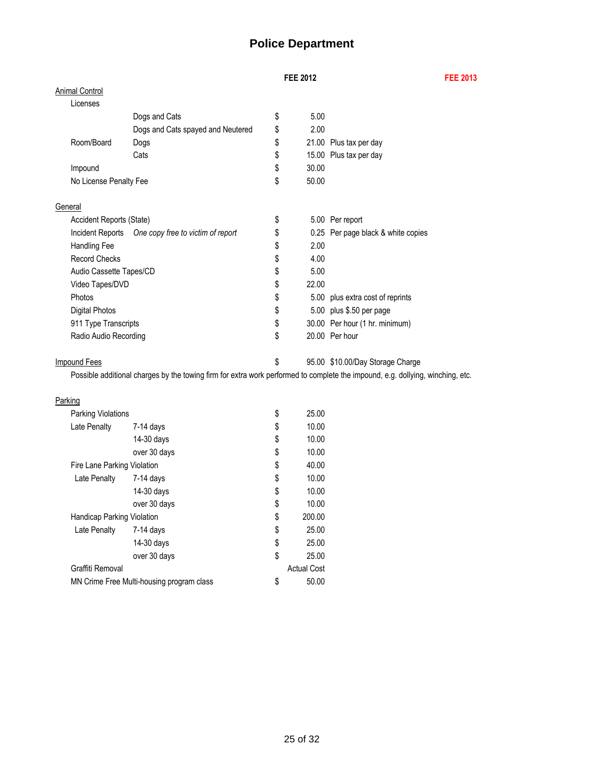# **Police Department**

## **FEE 2012 FEE 2013**

| <b>Animal Control</b>       |                                                                                                                                |                    |                                    |
|-----------------------------|--------------------------------------------------------------------------------------------------------------------------------|--------------------|------------------------------------|
| Licenses                    |                                                                                                                                |                    |                                    |
|                             | Dogs and Cats                                                                                                                  | \$<br>5.00         |                                    |
|                             | Dogs and Cats spayed and Neutered                                                                                              | \$<br>2.00         |                                    |
| Room/Board                  | Dogs                                                                                                                           | \$                 | 21.00 Plus tax per day             |
|                             | Cats                                                                                                                           | \$                 | 15.00 Plus tax per day             |
| Impound                     |                                                                                                                                | \$<br>30.00        |                                    |
| No License Penalty Fee      |                                                                                                                                | \$<br>50.00        |                                    |
| General                     |                                                                                                                                |                    |                                    |
| Accident Reports (State)    |                                                                                                                                | \$                 | 5.00 Per report                    |
| Incident Reports            | One copy free to victim of report                                                                                              | \$                 | 0.25 Per page black & white copies |
| <b>Handling Fee</b>         |                                                                                                                                | \$<br>2.00         |                                    |
| <b>Record Checks</b>        |                                                                                                                                | \$<br>4.00         |                                    |
| Audio Cassette Tapes/CD     |                                                                                                                                | \$<br>5.00         |                                    |
| Video Tapes/DVD             |                                                                                                                                | \$<br>22.00        |                                    |
| Photos                      |                                                                                                                                | \$                 | 5.00 plus extra cost of reprints   |
| <b>Digital Photos</b>       |                                                                                                                                | \$                 | 5.00 plus \$.50 per page           |
| 911 Type Transcripts        |                                                                                                                                | \$                 | 30.00 Per hour (1 hr. minimum)     |
| Radio Audio Recording       |                                                                                                                                | \$                 | 20.00 Per hour                     |
| <b>Impound Fees</b>         |                                                                                                                                | \$                 | 95.00 \$10.00/Day Storage Charge   |
|                             | Possible additional charges by the towing firm for extra work performed to complete the impound, e.g. dollying, winching, etc. |                    |                                    |
| Parking                     |                                                                                                                                |                    |                                    |
| Parking Violations          |                                                                                                                                | \$<br>25.00        |                                    |
| Late Penalty                | $7-14$ days                                                                                                                    | \$<br>10.00        |                                    |
|                             | 14-30 days                                                                                                                     | \$<br>10.00        |                                    |
|                             | over 30 days                                                                                                                   | \$<br>10.00        |                                    |
| Fire Lane Parking Violation |                                                                                                                                | \$<br>40.00        |                                    |
| Late Penalty                | 7-14 days                                                                                                                      | \$<br>10.00        |                                    |
|                             | 14-30 days                                                                                                                     | \$<br>10.00        |                                    |
|                             | over 30 days                                                                                                                   | \$<br>10.00        |                                    |
| Handicap Parking Violation  |                                                                                                                                | \$<br>200.00       |                                    |
| Late Penalty                | $7-14$ days                                                                                                                    | \$<br>25.00        |                                    |
|                             | 14-30 days                                                                                                                     | \$<br>25.00        |                                    |
|                             | over 30 days                                                                                                                   | \$<br>25.00        |                                    |
| Graffiti Removal            |                                                                                                                                | <b>Actual Cost</b> |                                    |
|                             | MN Crime Free Multi-housing program class                                                                                      | \$<br>50.00        |                                    |
|                             |                                                                                                                                |                    |                                    |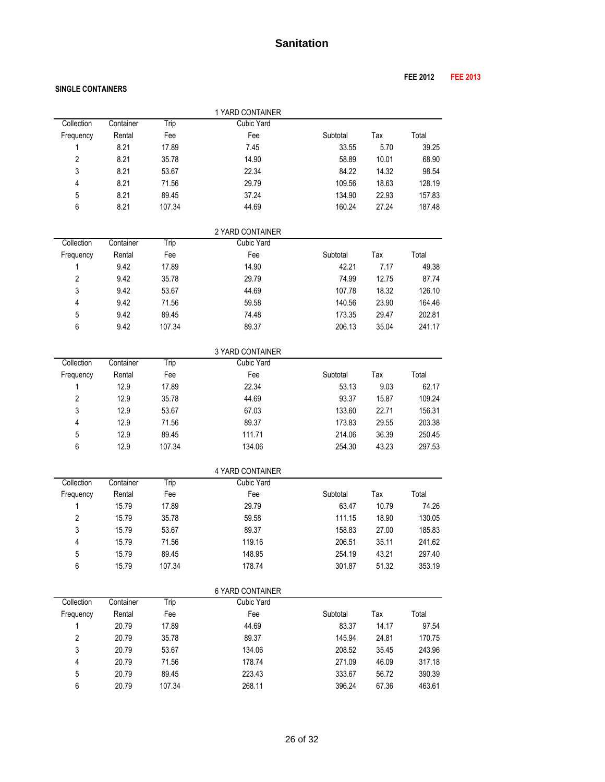#### **SINGLE CONTAINERS**

|                         |           |        | 1 YARD CONTAINER  |          |       |        |
|-------------------------|-----------|--------|-------------------|----------|-------|--------|
| Collection              | Container | Trip   | <b>Cubic Yard</b> |          |       |        |
| Frequency               | Rental    | Fee    | Fee               | Subtotal | Tax   | Total  |
| 1                       | 8.21      | 17.89  | 7.45              | 33.55    | 5.70  | 39.25  |
| $\overline{2}$          | 8.21      | 35.78  | 14.90             | 58.89    | 10.01 | 68.90  |
| 3                       | 8.21      | 53.67  | 22.34             | 84.22    | 14.32 | 98.54  |
| 4                       | 8.21      | 71.56  | 29.79             | 109.56   | 18.63 | 128.19 |
| 5                       | 8.21      | 89.45  | 37.24             | 134.90   | 22.93 | 157.83 |
| 6                       | 8.21      | 107.34 | 44.69             | 160.24   | 27.24 | 187.48 |
|                         |           |        |                   |          |       |        |
|                         |           |        | 2 YARD CONTAINER  |          |       |        |
| Collection              | Container | Trip   | <b>Cubic Yard</b> |          |       |        |
| Frequency               | Rental    | Fee    | Fee               | Subtotal | Tax   | Total  |
| 1                       | 9.42      | 17.89  | 14.90             | 42.21    | 7.17  | 49.38  |
| $\overline{2}$          | 9.42      | 35.78  | 29.79             | 74.99    | 12.75 | 87.74  |
| 3                       | 9.42      | 53.67  | 44.69             | 107.78   | 18.32 | 126.10 |
| 4                       | 9.42      | 71.56  | 59.58             | 140.56   | 23.90 | 164.46 |
| 5                       | 9.42      | 89.45  | 74.48             | 173.35   | 29.47 | 202.81 |
| 6                       | 9.42      | 107.34 | 89.37             | 206.13   | 35.04 | 241.17 |
|                         |           |        | 3 YARD CONTAINER  |          |       |        |
| Collection              | Container | Trip   | <b>Cubic Yard</b> |          |       |        |
| Frequency               | Rental    | Fee    | Fee               | Subtotal | Tax   | Total  |
| 1                       | 12.9      | 17.89  | 22.34             | 53.13    | 9.03  | 62.17  |
| $\overline{2}$          | 12.9      | 35.78  | 44.69             | 93.37    | 15.87 | 109.24 |
| 3                       | 12.9      | 53.67  | 67.03             | 133.60   | 22.71 | 156.31 |
| 4                       | 12.9      | 71.56  | 89.37             | 173.83   | 29.55 | 203.38 |
| 5                       | 12.9      | 89.45  | 111.71            | 214.06   | 36.39 | 250.45 |
| 6                       | 12.9      | 107.34 | 134.06            | 254.30   | 43.23 | 297.53 |
|                         |           |        |                   |          |       |        |
|                         |           |        | 4 YARD CONTAINER  |          |       |        |
| Collection              | Container | Trip   | <b>Cubic Yard</b> |          |       |        |
| Frequency               | Rental    | Fee    | Fee               | Subtotal | Tax   | Total  |
| 1                       | 15.79     | 17.89  | 29.79             | 63.47    | 10.79 | 74.26  |
| $\overline{2}$          | 15.79     | 35.78  | 59.58             | 111.15   | 18.90 | 130.05 |
| 3                       | 15.79     | 53.67  | 89.37             | 158.83   | 27.00 | 185.83 |
| 4                       | 15.79     | 71.56  | 119.16            | 206.51   | 35.11 | 241.62 |
| 5                       | 15.79     | 89.45  | 148.95            | 254.19   | 43.21 | 297.40 |
| 6                       | 15.79     | 107.34 | 178.74            | 301.87   | 51.32 | 353.19 |
|                         |           |        | 6 YARD CONTAINER  |          |       |        |
| Collection              | Container | Trip   | <b>Cubic Yard</b> |          |       |        |
| Frequency               | Rental    | Fee    | Fee               | Subtotal | Tax   | Total  |
| 1                       | 20.79     | 17.89  | 44.69             | 83.37    | 14.17 | 97.54  |
| $\overline{\mathbf{c}}$ | 20.79     | 35.78  | 89.37             | 145.94   | 24.81 | 170.75 |
| $\mathfrak{z}$          | 20.79     | 53.67  | 134.06            | 208.52   | 35.45 | 243.96 |
| 4                       | 20.79     | 71.56  | 178.74            | 271.09   | 46.09 | 317.18 |
| 5                       | 20.79     | 89.45  | 223.43            | 333.67   | 56.72 | 390.39 |
| 6                       | 20.79     | 107.34 | 268.11            | 396.24   | 67.36 | 463.61 |
|                         |           |        |                   |          |       |        |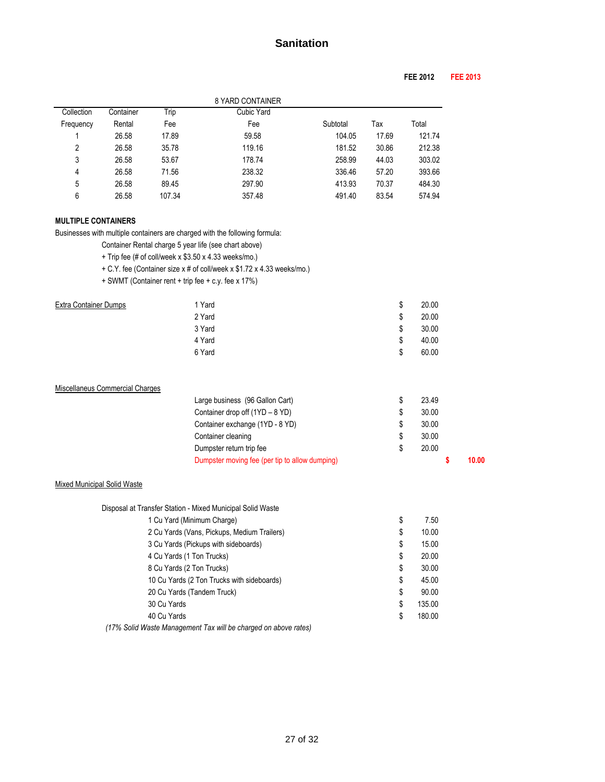## **FEE 2012 FEE 2013**

|            |           |        | 8 YARD CONTAINER |          |       |        |
|------------|-----------|--------|------------------|----------|-------|--------|
| Collection | Container | Trip   | Cubic Yard       |          |       |        |
| Frequency  | Rental    | Fee    | Fee              | Subtotal | Тах   | Total  |
|            | 26.58     | 17.89  | 59.58            | 104.05   | 17.69 | 121.74 |
| 2          | 26.58     | 35.78  | 119.16           | 181.52   | 30.86 | 212.38 |
| 3          | 26.58     | 53.67  | 178.74           | 258.99   | 44.03 | 303.02 |
| 4          | 26.58     | 71.56  | 238.32           | 336.46   | 57.20 | 393.66 |
| 5          | 26.58     | 89.45  | 297.90           | 413.93   | 70.37 | 484.30 |
| 6          | 26.58     | 107.34 | 357.48           | 491.40   | 83.54 | 574.94 |

#### **MULTIPLE CONTAINERS**

Businesses with multiple containers are charged with the following formula:

Container Rental charge 5 year life (see chart above)

- + Trip fee (# of coll/week x \$3.50 x 4.33 weeks/mo.)
- + C.Y. fee (Container size x # of coll/week x \$1.72 x 4.33 weeks/mo.)
- + SWMT (Container rent + trip fee + c.y. fee x 17%)

| <b>Extra Container Dumps</b> | 1 Yard | \$<br>20.00 |
|------------------------------|--------|-------------|
|                              | 2 Yard | \$<br>20.00 |
|                              | 3 Yard | \$<br>30.00 |
|                              | 4 Yard | \$<br>40.00 |
|                              | 6 Yard | \$<br>60.00 |
|                              |        |             |

| Miscellaneus Commercial Charges |  |
|---------------------------------|--|
|                                 |  |

| Dumpster moving fee (per tip to allow dumping) |       | 10.00 |
|------------------------------------------------|-------|-------|
| Dumpster return trip fee                       | 20.00 |       |
| Container cleaning                             | 30.00 |       |
| Container exchange (1YD - 8 YD)                | 30.00 |       |
| Container drop off (1YD - 8 YD)                | 30.00 |       |
| Large business (96 Gallon Cart)                | 23.49 |       |

#### Mixed Municipal Solid Waste

| Disposal at Transfer Station - Mixed Municipal Solid Waste |              |
|------------------------------------------------------------|--------------|
| 1 Cu Yard (Minimum Charge)                                 | \$<br>7.50   |
| 2 Cu Yards (Vans, Pickups, Medium Trailers)                | \$<br>10.00  |
| 3 Cu Yards (Pickups with sideboards)                       | \$<br>15.00  |
| 4 Cu Yards (1 Ton Trucks)                                  | \$<br>20.00  |
| 8 Cu Yards (2 Ton Trucks)                                  | \$<br>30.00  |
| 10 Cu Yards (2 Ton Trucks with sideboards)                 | \$<br>45.00  |
| 20 Cu Yards (Tandem Truck)                                 | \$<br>90.00  |
| 30 Cu Yards                                                | \$<br>135.00 |
| 40 Cu Yards                                                | \$<br>180.00 |
|                                                            |              |

 *(17% Solid Waste Management Tax will be charged on above rates)*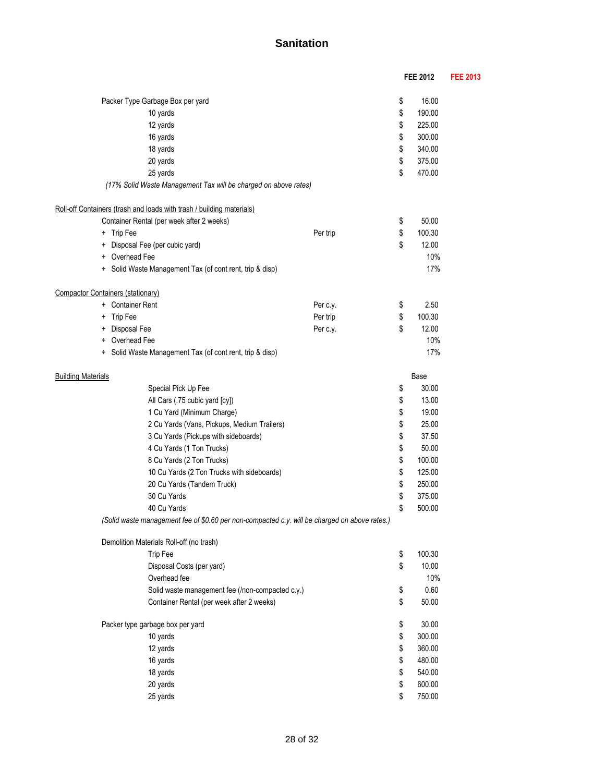|                                   |                                                                       |                                                                                               | <b>FEE 2012</b> | <b>FEE 2013</b> |
|-----------------------------------|-----------------------------------------------------------------------|-----------------------------------------------------------------------------------------------|-----------------|-----------------|
|                                   |                                                                       |                                                                                               | 16.00           |                 |
|                                   | Packer Type Garbage Box per yard                                      |                                                                                               | \$              |                 |
|                                   | 10 yards                                                              |                                                                                               | \$<br>190.00    |                 |
|                                   | 12 yards                                                              |                                                                                               | \$<br>225.00    |                 |
|                                   | 16 yards                                                              |                                                                                               | \$<br>300.00    |                 |
|                                   | 18 yards                                                              |                                                                                               | \$<br>340.00    |                 |
|                                   | 20 yards                                                              |                                                                                               | \$<br>375.00    |                 |
|                                   | 25 yards                                                              |                                                                                               | \$<br>470.00    |                 |
|                                   | (17% Solid Waste Management Tax will be charged on above rates)       |                                                                                               |                 |                 |
|                                   | Roll-off Containers (trash and loads with trash / building materials) |                                                                                               |                 |                 |
|                                   | Container Rental (per week after 2 weeks)                             |                                                                                               | \$<br>50.00     |                 |
| + Trip Fee                        |                                                                       | Per trip                                                                                      | \$<br>100.30    |                 |
| +                                 | Disposal Fee (per cubic yard)                                         |                                                                                               | \$<br>12.00     |                 |
| +                                 | Overhead Fee                                                          |                                                                                               | 10%             |                 |
|                                   | + Solid Waste Management Tax (of cont rent, trip & disp)              |                                                                                               | 17%             |                 |
|                                   |                                                                       |                                                                                               |                 |                 |
| Compactor Containers (stationary) |                                                                       |                                                                                               |                 |                 |
| + Container Rent                  |                                                                       | Per c.y.                                                                                      | \$<br>2.50      |                 |
| Trip Fee<br>+                     |                                                                       | Per trip                                                                                      | \$<br>100.30    |                 |
| Disposal Fee<br>+                 |                                                                       | Per c.y.                                                                                      | \$<br>12.00     |                 |
|                                   | Overhead Fee                                                          |                                                                                               | 10%             |                 |
| $\ddot{}$                         | Solid Waste Management Tax (of cont rent, trip & disp)                |                                                                                               | 17%             |                 |
| <b>Building Materials</b>         |                                                                       |                                                                                               | Base            |                 |
|                                   | Special Pick Up Fee                                                   |                                                                                               | \$<br>30.00     |                 |
|                                   | All Cars (.75 cubic yard [cy])                                        |                                                                                               | \$<br>13.00     |                 |
|                                   | 1 Cu Yard (Minimum Charge)                                            |                                                                                               | \$<br>19.00     |                 |
|                                   | 2 Cu Yards (Vans, Pickups, Medium Trailers)                           |                                                                                               | \$<br>25.00     |                 |
|                                   | 3 Cu Yards (Pickups with sideboards)                                  |                                                                                               | \$<br>37.50     |                 |
|                                   | 4 Cu Yards (1 Ton Trucks)                                             |                                                                                               | \$<br>50.00     |                 |
|                                   | 8 Cu Yards (2 Ton Trucks)                                             |                                                                                               | \$<br>100.00    |                 |
|                                   | 10 Cu Yards (2 Ton Trucks with sideboards)                            |                                                                                               | \$<br>125.00    |                 |
|                                   | 20 Cu Yards (Tandem Truck)                                            |                                                                                               | \$<br>250.00    |                 |
|                                   | 30 Cu Yards                                                           |                                                                                               | \$<br>375.00    |                 |
|                                   | 40 Cu Yards                                                           |                                                                                               | \$<br>500.00    |                 |
|                                   |                                                                       | (Solid waste management fee of \$0.60 per non-compacted c.y. will be charged on above rates.) |                 |                 |
|                                   | Demolition Materials Roll-off (no trash)                              |                                                                                               |                 |                 |
|                                   | Trip Fee                                                              |                                                                                               | \$<br>100.30    |                 |
|                                   | Disposal Costs (per yard)                                             |                                                                                               | \$<br>10.00     |                 |
|                                   | Overhead fee                                                          |                                                                                               | 10%             |                 |
|                                   | Solid waste management fee (/non-compacted c.y.)                      |                                                                                               | \$<br>0.60      |                 |
|                                   | Container Rental (per week after 2 weeks)                             |                                                                                               | \$<br>50.00     |                 |
|                                   | Packer type garbage box per yard                                      |                                                                                               | \$<br>30.00     |                 |
|                                   | 10 yards                                                              |                                                                                               | \$<br>300.00    |                 |
|                                   | 12 yards                                                              |                                                                                               | \$<br>360.00    |                 |
|                                   | 16 yards                                                              |                                                                                               | \$<br>480.00    |                 |
|                                   | 18 yards                                                              |                                                                                               | \$<br>540.00    |                 |
|                                   | 20 yards                                                              |                                                                                               | \$<br>600.00    |                 |
|                                   | 25 yards                                                              |                                                                                               | \$<br>750.00    |                 |
|                                   |                                                                       |                                                                                               |                 |                 |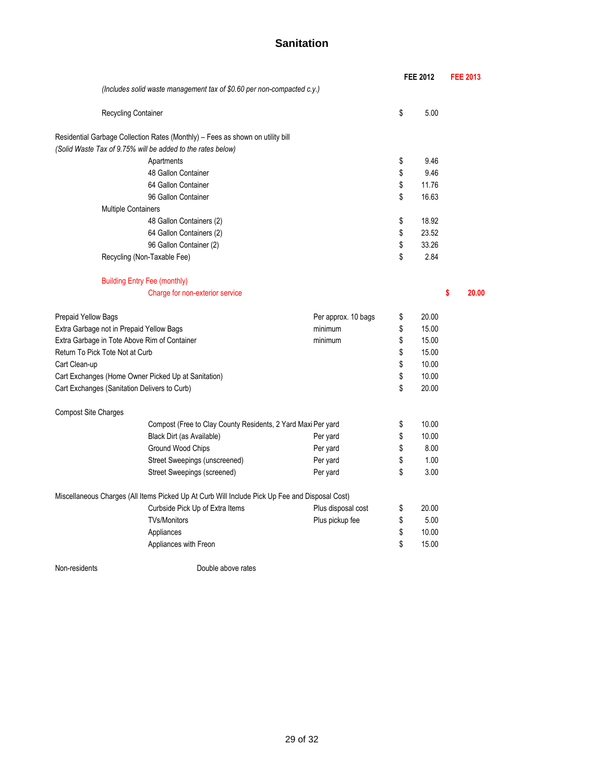|                                                         |                                                                                                |                     |    | <b>FEE 2012</b> | <b>FEE 2013</b> |       |  |
|---------------------------------------------------------|------------------------------------------------------------------------------------------------|---------------------|----|-----------------|-----------------|-------|--|
|                                                         | (Includes solid waste management tax of \$0.60 per non-compacted c.y.)                         |                     |    |                 |                 |       |  |
|                                                         | Recycling Container                                                                            |                     | \$ | 5.00            |                 |       |  |
|                                                         | Residential Garbage Collection Rates (Monthly) - Fees as shown on utility bill                 |                     |    |                 |                 |       |  |
|                                                         | (Solid Waste Tax of 9.75% will be added to the rates below)                                    |                     |    |                 |                 |       |  |
|                                                         | Apartments                                                                                     |                     | \$ | 9.46            |                 |       |  |
|                                                         | 48 Gallon Container                                                                            |                     | \$ | 9.46            |                 |       |  |
|                                                         | 64 Gallon Container                                                                            |                     | \$ | 11.76           |                 |       |  |
|                                                         | 96 Gallon Container                                                                            |                     | \$ | 16.63           |                 |       |  |
|                                                         | <b>Multiple Containers</b>                                                                     |                     |    |                 |                 |       |  |
|                                                         | 48 Gallon Containers (2)                                                                       |                     | \$ | 18.92           |                 |       |  |
|                                                         | 64 Gallon Containers (2)                                                                       |                     | \$ | 23.52           |                 |       |  |
|                                                         | 96 Gallon Container (2)                                                                        |                     | \$ | 33.26           |                 |       |  |
|                                                         | Recycling (Non-Taxable Fee)                                                                    |                     | \$ | 2.84            |                 |       |  |
|                                                         | <b>Building Entry Fee (monthly)</b>                                                            |                     |    |                 |                 |       |  |
|                                                         | Charge for non-exterior service                                                                |                     |    |                 | \$              | 20.00 |  |
| <b>Prepaid Yellow Bags</b>                              |                                                                                                | Per approx. 10 bags | \$ | 20.00           |                 |       |  |
|                                                         | Extra Garbage not in Prepaid Yellow Bags                                                       | minimum             | \$ | 15.00           |                 |       |  |
| Extra Garbage in Tote Above Rim of Container<br>minimum |                                                                                                |                     |    | 15.00           |                 |       |  |
| Return To Pick Tote Not at Curb                         |                                                                                                |                     | \$ | 15.00           |                 |       |  |
| Cart Clean-up                                           |                                                                                                |                     | \$ | 10.00           |                 |       |  |
|                                                         | Cart Exchanges (Home Owner Picked Up at Sanitation)                                            |                     | \$ | 10.00           |                 |       |  |
|                                                         | Cart Exchanges (Sanitation Delivers to Curb)                                                   |                     | \$ | 20.00           |                 |       |  |
| <b>Compost Site Charges</b>                             |                                                                                                |                     |    |                 |                 |       |  |
|                                                         | Compost (Free to Clay County Residents, 2 Yard Maxi Per yard                                   |                     | \$ | 10.00           |                 |       |  |
|                                                         | Black Dirt (as Available)                                                                      | Per yard            | \$ | 10.00           |                 |       |  |
|                                                         | Ground Wood Chips                                                                              | Per yard            | \$ | 8.00            |                 |       |  |
|                                                         | Street Sweepings (unscreened)                                                                  | Per yard            | \$ | 1.00            |                 |       |  |
|                                                         | Street Sweepings (screened)                                                                    | Per yard            | \$ | 3.00            |                 |       |  |
|                                                         | Miscellaneous Charges (All Items Picked Up At Curb Will Include Pick Up Fee and Disposal Cost) |                     |    |                 |                 |       |  |
|                                                         | Curbside Pick Up of Extra Items                                                                | Plus disposal cost  | \$ | 20.00           |                 |       |  |
|                                                         | <b>TVs/Monitors</b>                                                                            | Plus pickup fee     | \$ | 5.00            |                 |       |  |
|                                                         | Appliances                                                                                     |                     | \$ | 10.00           |                 |       |  |
|                                                         | Appliances with Freon                                                                          |                     | \$ | 15.00           |                 |       |  |
|                                                         |                                                                                                |                     |    |                 |                 |       |  |

Non-residents **Double above rates**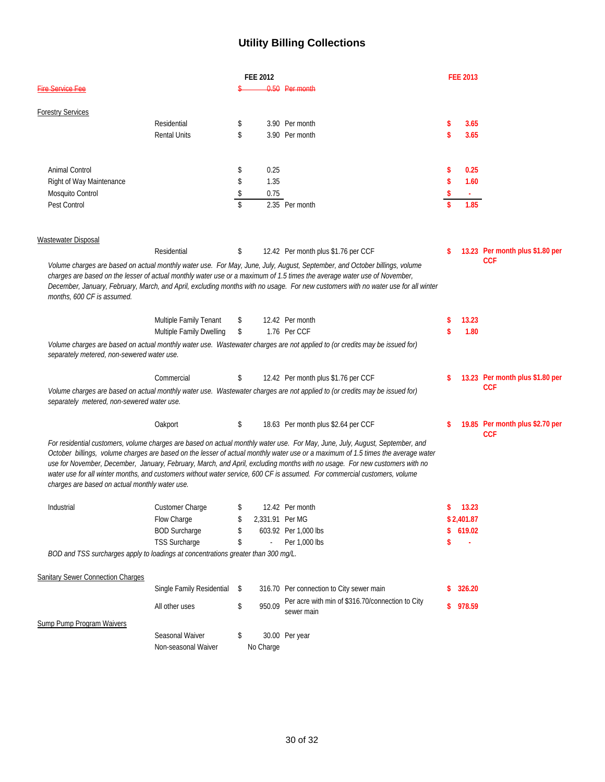# **Utility Billing Collections**

| <b>FEE 2012</b>                                                                   |                              |                    |                 | <b>FEE 2013</b>                                                                                                                                                                                                                                                                                                                                                                                                                                                                                                             |     |            |                                               |
|-----------------------------------------------------------------------------------|------------------------------|--------------------|-----------------|-----------------------------------------------------------------------------------------------------------------------------------------------------------------------------------------------------------------------------------------------------------------------------------------------------------------------------------------------------------------------------------------------------------------------------------------------------------------------------------------------------------------------------|-----|------------|-----------------------------------------------|
| <b>Fire Service Fee</b>                                                           |                              |                    |                 | 0.50 Per month                                                                                                                                                                                                                                                                                                                                                                                                                                                                                                              |     |            |                                               |
| <b>Forestry Services</b>                                                          |                              |                    |                 |                                                                                                                                                                                                                                                                                                                                                                                                                                                                                                                             |     |            |                                               |
|                                                                                   | Residential                  | \$                 |                 | 3.90 Per month                                                                                                                                                                                                                                                                                                                                                                                                                                                                                                              | \$  | 3.65       |                                               |
|                                                                                   | <b>Rental Units</b>          | \$                 |                 | 3.90 Per month                                                                                                                                                                                                                                                                                                                                                                                                                                                                                                              | \$  | 3.65       |                                               |
| Animal Control                                                                    |                              | \$                 | 0.25            |                                                                                                                                                                                                                                                                                                                                                                                                                                                                                                                             | \$  | 0.25       |                                               |
| Right of Way Maintenance                                                          |                              | \$                 | 1.35            |                                                                                                                                                                                                                                                                                                                                                                                                                                                                                                                             | \$  | 1.60       |                                               |
| Mosquito Control                                                                  |                              | \$                 | 0.75            |                                                                                                                                                                                                                                                                                                                                                                                                                                                                                                                             |     |            |                                               |
| Pest Control                                                                      |                              | $\mathbf{\hat{S}}$ |                 | 2.35 Per month                                                                                                                                                                                                                                                                                                                                                                                                                                                                                                              |     | 1.85       |                                               |
| Wastewater Disposal                                                               |                              |                    |                 |                                                                                                                                                                                                                                                                                                                                                                                                                                                                                                                             |     |            |                                               |
|                                                                                   | Residential                  | \$                 |                 | 12.42 Per month plus \$1.76 per CCF                                                                                                                                                                                                                                                                                                                                                                                                                                                                                         |     |            | 13.23 Per month plus \$1.80 per               |
| months, 600 CF is assumed.                                                        |                              |                    |                 | Volume charges are based on actual monthly water use. For May, June, July, August, September, and October billings, volume<br>charges are based on the lesser of actual monthly water use or a maximum of 1.5 times the average water use of November,<br>December, January, February, March, and April, excluding months with no usage. For new customers with no water use for all winter                                                                                                                                 |     |            | <b>CCF</b>                                    |
|                                                                                   | Multiple Family Tenant       | \$                 |                 | 12.42 Per month                                                                                                                                                                                                                                                                                                                                                                                                                                                                                                             | \$  | 13.23      |                                               |
|                                                                                   | Multiple Family Dwelling     | \$                 |                 | 1.76 Per CCF                                                                                                                                                                                                                                                                                                                                                                                                                                                                                                                |     | 1.80       |                                               |
| separately metered, non-sewered water use.                                        |                              |                    |                 | Volume charges are based on actual monthly water use. Wastewater charges are not applied to (or credits may be issued for)                                                                                                                                                                                                                                                                                                                                                                                                  |     |            |                                               |
|                                                                                   | Commercial                   | \$                 |                 | 12.42 Per month plus \$1.76 per CCF                                                                                                                                                                                                                                                                                                                                                                                                                                                                                         |     |            | 13.23 Per month plus \$1.80 per               |
| separately metered, non-sewered water use.                                        |                              |                    |                 | Volume charges are based on actual monthly water use. Wastewater charges are not applied to (or credits may be issued for)                                                                                                                                                                                                                                                                                                                                                                                                  |     |            | <b>CCF</b>                                    |
|                                                                                   | Oakport                      | \$                 |                 | 18.63 Per month plus \$2.64 per CCF                                                                                                                                                                                                                                                                                                                                                                                                                                                                                         | \$  |            | 19.85 Per month plus \$2.70 per<br><b>CCF</b> |
| charges are based on actual monthly water use.                                    |                              |                    |                 | For residential customers, volume charges are based on actual monthly water use. For May, June, July, August, September, and<br>October billings, volume charges are based on the lesser of actual monthly water use or a maximum of 1.5 times the average water<br>use for November, December, January, February, March, and April, excluding months with no usage. For new customers with no<br>water use for all winter months, and customers without water service, 600 CF is assumed. For commercial customers, volume |     |            |                                               |
| Industrial                                                                        | Customer Charge              | \$                 |                 | 12.42 Per month                                                                                                                                                                                                                                                                                                                                                                                                                                                                                                             | S   | 13.23      |                                               |
|                                                                                   | Flow Charge                  |                    | 2,331.91 Per MG |                                                                                                                                                                                                                                                                                                                                                                                                                                                                                                                             |     | \$2,401.87 |                                               |
|                                                                                   | <b>BOD Surcharge</b>         | \$                 |                 | 603.92 Per 1,000 lbs                                                                                                                                                                                                                                                                                                                                                                                                                                                                                                        | \$. | 619.02     |                                               |
|                                                                                   | <b>TSS Surcharge</b>         | \$                 |                 | Per 1,000 lbs                                                                                                                                                                                                                                                                                                                                                                                                                                                                                                               | \$  | ä,         |                                               |
| BOD and TSS surcharges apply to loadings at concentrations greater than 300 mg/L. |                              |                    |                 |                                                                                                                                                                                                                                                                                                                                                                                                                                                                                                                             |     |            |                                               |
| <b>Sanitary Sewer Connection Charges</b>                                          |                              |                    |                 |                                                                                                                                                                                                                                                                                                                                                                                                                                                                                                                             |     |            |                                               |
|                                                                                   | Single Family Residential \$ |                    |                 | 316.70 Per connection to City sewer main                                                                                                                                                                                                                                                                                                                                                                                                                                                                                    |     | 326.20     |                                               |
|                                                                                   | All other uses               | \$                 | 950.09          | Per acre with min of \$316.70/connection to City<br>sewer main                                                                                                                                                                                                                                                                                                                                                                                                                                                              |     | \$978.59   |                                               |
| Sump Pump Program Waivers                                                         |                              |                    |                 |                                                                                                                                                                                                                                                                                                                                                                                                                                                                                                                             |     |            |                                               |
|                                                                                   | Seasonal Waiver              | \$                 |                 | 30.00 Per year                                                                                                                                                                                                                                                                                                                                                                                                                                                                                                              |     |            |                                               |
|                                                                                   | Non-seasonal Waiver          |                    | No Charge       |                                                                                                                                                                                                                                                                                                                                                                                                                                                                                                                             |     |            |                                               |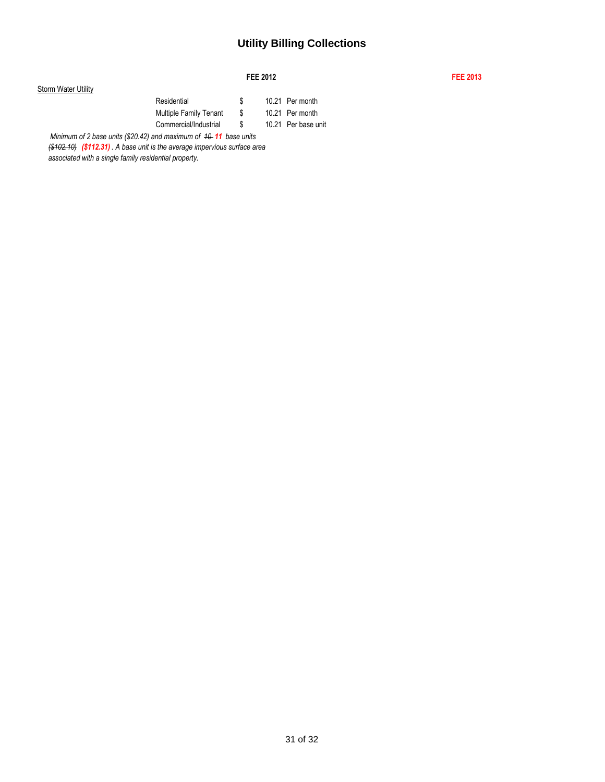## **Utility Billing Collections**

#### **FEE 2012 FEE 2013**

### **Storm Water Utility** Residential  $\frac{1}{2}$  10.21 Per month Multiple Family Tenant \$ 10.21 Per month Commercial/Industrial \$ 10.21 Per base unit *Minimum of 2 base units (\$20.42) and maximum of 40-11 base units*

*(\$102.10) (\$112.31) . A base unit is the average impervious surface area associated with a single family residential property.*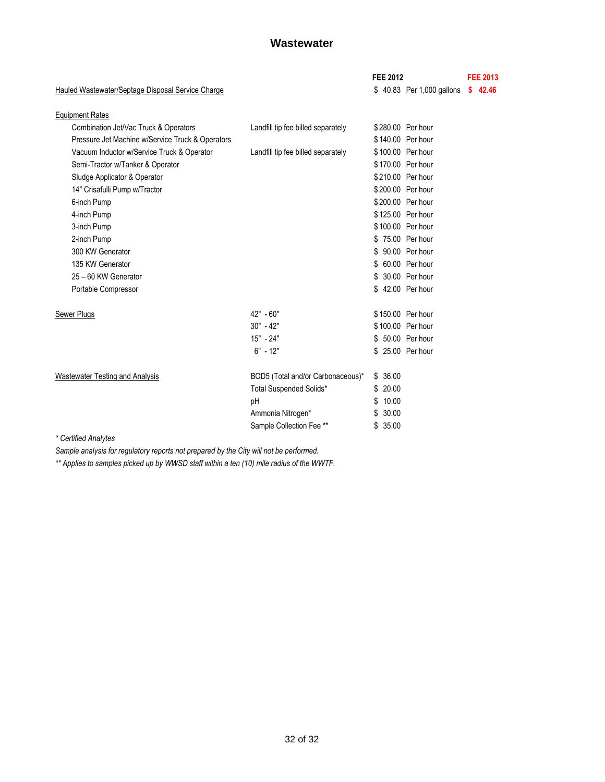## **Wastewater**

|                                                   |                                    | <b>FEE 2012</b> |                           | <b>FEE 2013</b> |         |
|---------------------------------------------------|------------------------------------|-----------------|---------------------------|-----------------|---------|
| Hauled Wastewater/Septage Disposal Service Charge |                                    |                 | \$40.83 Per 1,000 gallons |                 | \$42.46 |
| <b>Equipment Rates</b>                            |                                    |                 |                           |                 |         |
| Combination Jet/Vac Truck & Operators             | Landfill tip fee billed separately |                 | \$280.00 Per hour         |                 |         |
| Pressure Jet Machine w/Service Truck & Operators  |                                    |                 | \$140.00 Per hour         |                 |         |
| Vacuum Inductor w/Service Truck & Operator        | Landfill tip fee billed separately |                 | \$100.00 Per hour         |                 |         |
| Semi-Tractor w/Tanker & Operator                  |                                    |                 | \$170.00 Per hour         |                 |         |
| Sludge Applicator & Operator                      |                                    |                 | \$210.00 Per hour         |                 |         |
| 14" Crisafulli Pump w/Tractor                     |                                    |                 | \$200.00 Per hour         |                 |         |
| 6-inch Pump                                       |                                    |                 | \$200.00 Per hour         |                 |         |
| 4-inch Pump                                       |                                    |                 | \$125.00 Per hour         |                 |         |
| 3-inch Pump                                       |                                    |                 | \$100.00 Per hour         |                 |         |
| 2-inch Pump                                       |                                    |                 | \$75.00 Per hour          |                 |         |
| 300 KW Generator                                  |                                    |                 | \$ 90.00 Per hour         |                 |         |
| 135 KW Generator                                  |                                    | \$.             | 60.00 Per hour            |                 |         |
| 25 - 60 KW Generator                              |                                    | S               | 30.00 Per hour            |                 |         |
| Portable Compressor                               |                                    |                 | \$ 42.00 Per hour         |                 |         |
| Sewer Plugs                                       | 42" - 60"                          |                 | \$150.00 Per hour         |                 |         |
|                                                   | $30" - 42"$                        |                 | \$100.00 Per hour         |                 |         |
|                                                   | $15" - 24"$                        |                 | \$ 50.00 Per hour         |                 |         |
|                                                   | $6" - 12"$                         |                 | \$ 25.00 Per hour         |                 |         |
| <b>Wastewater Testing and Analysis</b>            | BOD5 (Total and/or Carbonaceous)*  | \$36.00         |                           |                 |         |
|                                                   | Total Suspended Solids*            | \$20.00         |                           |                 |         |
|                                                   | pH                                 | 10.00<br>\$     |                           |                 |         |
|                                                   | Ammonia Nitrogen*                  | 30.00<br>\$     |                           |                 |         |
|                                                   | Sample Collection Fee **           | \$35.00         |                           |                 |         |
| $*$ Cartified Anglished                           |                                    |                 |                           |                 |         |

*\* Certified Analytes*

*Sample analysis for regulatory reports not prepared by the City will not be performed.*

*\*\* Applies to samples picked up by WWSD staff within a ten (10) mile radius of the WWTF.*